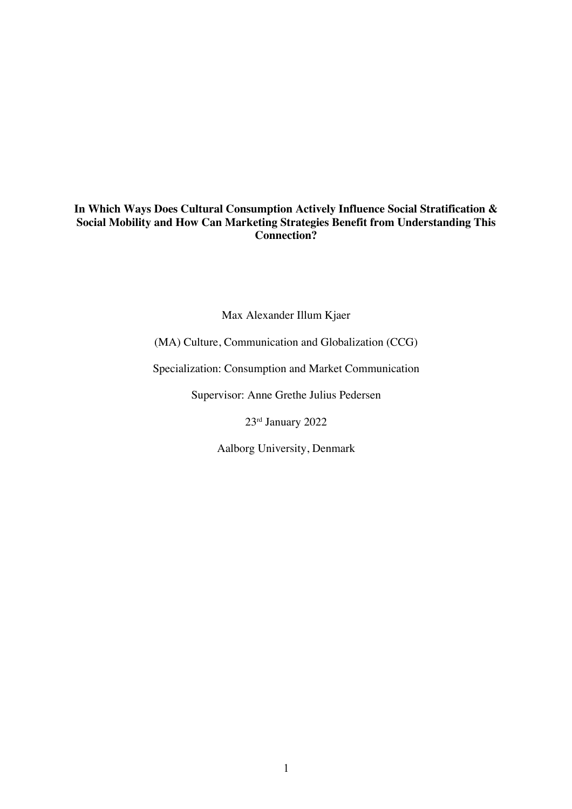## **In Which Ways Does Cultural Consumption Actively Influence Social Stratification & Social Mobility and How Can Marketing Strategies Benefit from Understanding This Connection?**

Max Alexander Illum Kjaer

(MA) Culture, Communication and Globalization (CCG)

Specialization: Consumption and Market Communication

Supervisor: Anne Grethe Julius Pedersen

23rd January 2022

Aalborg University, Denmark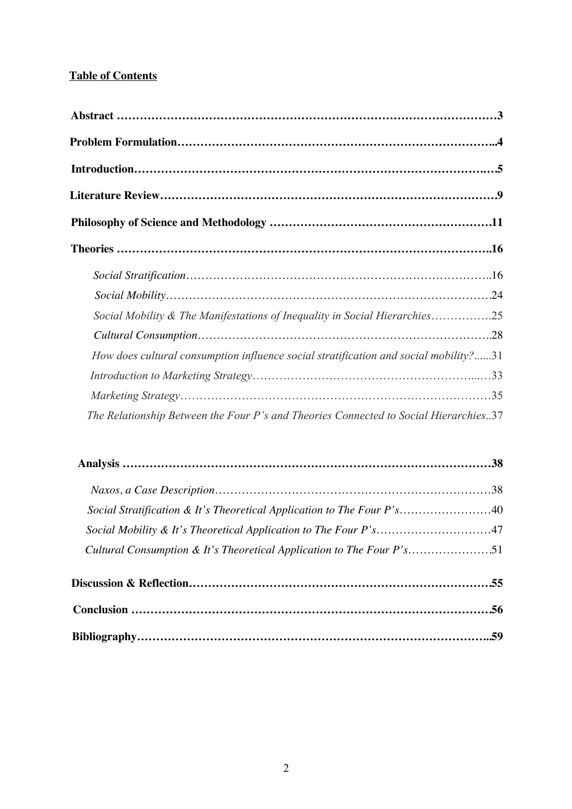# **Table of Contents**

| Social Mobility & The Manifestations of Inequality in Social Hierarchies25           |  |
|--------------------------------------------------------------------------------------|--|
|                                                                                      |  |
| How does cultural consumption influence social stratification and social mobility?31 |  |
|                                                                                      |  |
|                                                                                      |  |
| The Relationship Between the Four P's and Theories Connected to Social Hierarchies37 |  |

| Social Stratification & It's Theoretical Application to The Four P's40 |  |
|------------------------------------------------------------------------|--|
| Social Mobility & It's Theoretical Application to The Four P's47       |  |
| Cultural Consumption & It's Theoretical Application to The Four P's51  |  |
|                                                                        |  |
|                                                                        |  |
|                                                                        |  |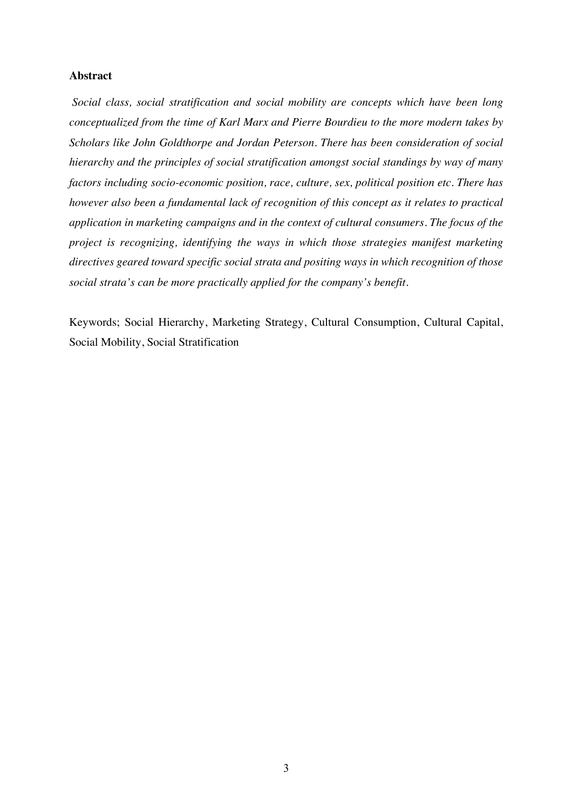## **Abstract**

*Social class, social stratification and social mobility are concepts which have been long conceptualized from the time of Karl Marx and Pierre Bourdieu to the more modern takes by Scholars like John Goldthorpe and Jordan Peterson. There has been consideration of social hierarchy and the principles of social stratification amongst social standings by way of many factors including socio-economic position, race, culture, sex, political position etc. There has however also been a fundamental lack of recognition of this concept as it relates to practical application in marketing campaigns and in the context of cultural consumers. The focus of the project is recognizing, identifying the ways in which those strategies manifest marketing directives geared toward specific social strata and positing ways in which recognition of those social strata's can be more practically applied for the company's benefit.* 

Keywords; Social Hierarchy, Marketing Strategy, Cultural Consumption, Cultural Capital, Social Mobility, Social Stratification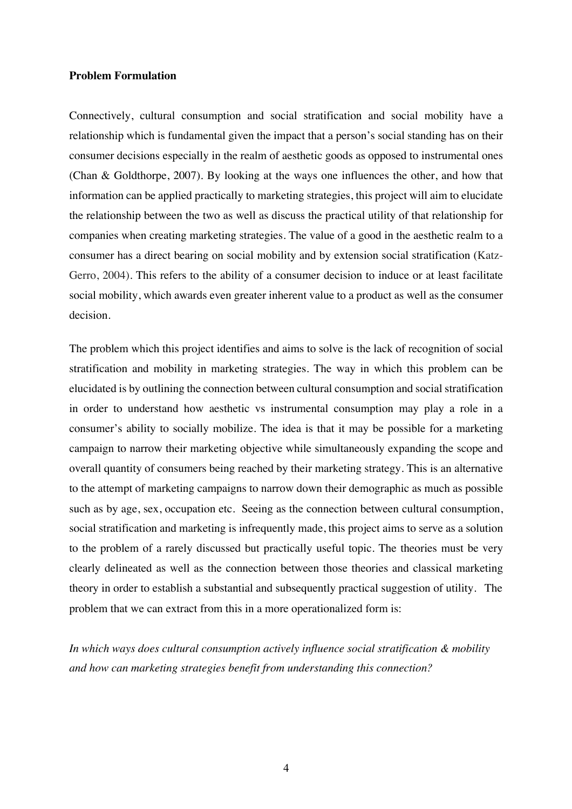#### **Problem Formulation**

Connectively, cultural consumption and social stratification and social mobility have a relationship which is fundamental given the impact that a person's social standing has on their consumer decisions especially in the realm of aesthetic goods as opposed to instrumental ones (Chan & Goldthorpe, 2007). By looking at the ways one influences the other, and how that information can be applied practically to marketing strategies, this project will aim to elucidate the relationship between the two as well as discuss the practical utility of that relationship for companies when creating marketing strategies. The value of a good in the aesthetic realm to a consumer has a direct bearing on social mobility and by extension social stratification (Katz-Gerro, 2004). This refers to the ability of a consumer decision to induce or at least facilitate social mobility, which awards even greater inherent value to a product as well as the consumer decision.

The problem which this project identifies and aims to solve is the lack of recognition of social stratification and mobility in marketing strategies. The way in which this problem can be elucidated is by outlining the connection between cultural consumption and social stratification in order to understand how aesthetic vs instrumental consumption may play a role in a consumer's ability to socially mobilize. The idea is that it may be possible for a marketing campaign to narrow their marketing objective while simultaneously expanding the scope and overall quantity of consumers being reached by their marketing strategy. This is an alternative to the attempt of marketing campaigns to narrow down their demographic as much as possible such as by age, sex, occupation etc. Seeing as the connection between cultural consumption, social stratification and marketing is infrequently made, this project aims to serve as a solution to the problem of a rarely discussed but practically useful topic. The theories must be very clearly delineated as well as the connection between those theories and classical marketing theory in order to establish a substantial and subsequently practical suggestion of utility. The problem that we can extract from this in a more operationalized form is:

*In which ways does cultural consumption actively influence social stratification & mobility and how can marketing strategies benefit from understanding this connection?*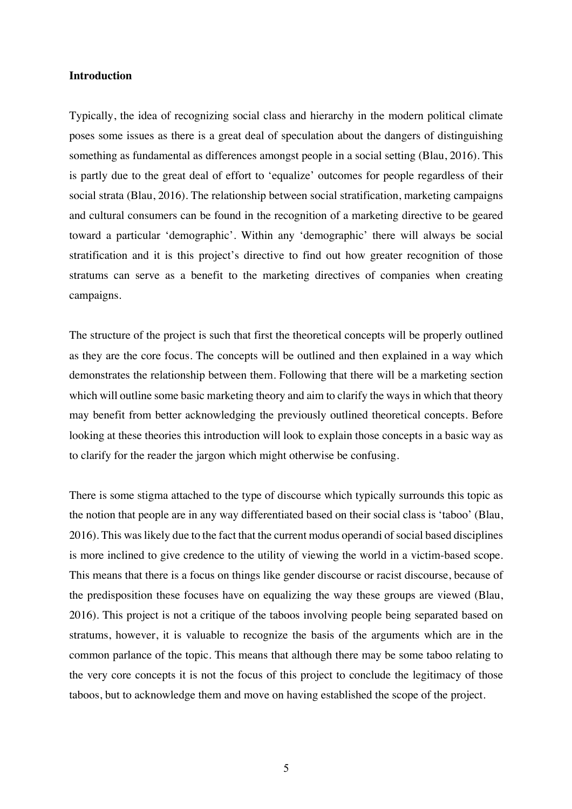## **Introduction**

Typically, the idea of recognizing social class and hierarchy in the modern political climate poses some issues as there is a great deal of speculation about the dangers of distinguishing something as fundamental as differences amongst people in a social setting (Blau, 2016). This is partly due to the great deal of effort to 'equalize' outcomes for people regardless of their social strata (Blau, 2016). The relationship between social stratification, marketing campaigns and cultural consumers can be found in the recognition of a marketing directive to be geared toward a particular 'demographic'. Within any 'demographic' there will always be social stratification and it is this project's directive to find out how greater recognition of those stratums can serve as a benefit to the marketing directives of companies when creating campaigns.

The structure of the project is such that first the theoretical concepts will be properly outlined as they are the core focus. The concepts will be outlined and then explained in a way which demonstrates the relationship between them. Following that there will be a marketing section which will outline some basic marketing theory and aim to clarify the ways in which that theory may benefit from better acknowledging the previously outlined theoretical concepts. Before looking at these theories this introduction will look to explain those concepts in a basic way as to clarify for the reader the jargon which might otherwise be confusing.

There is some stigma attached to the type of discourse which typically surrounds this topic as the notion that people are in any way differentiated based on their social class is 'taboo' (Blau, 2016). This was likely due to the fact that the current modus operandi of social based disciplines is more inclined to give credence to the utility of viewing the world in a victim-based scope. This means that there is a focus on things like gender discourse or racist discourse, because of the predisposition these focuses have on equalizing the way these groups are viewed (Blau, 2016). This project is not a critique of the taboos involving people being separated based on stratums, however, it is valuable to recognize the basis of the arguments which are in the common parlance of the topic. This means that although there may be some taboo relating to the very core concepts it is not the focus of this project to conclude the legitimacy of those taboos, but to acknowledge them and move on having established the scope of the project.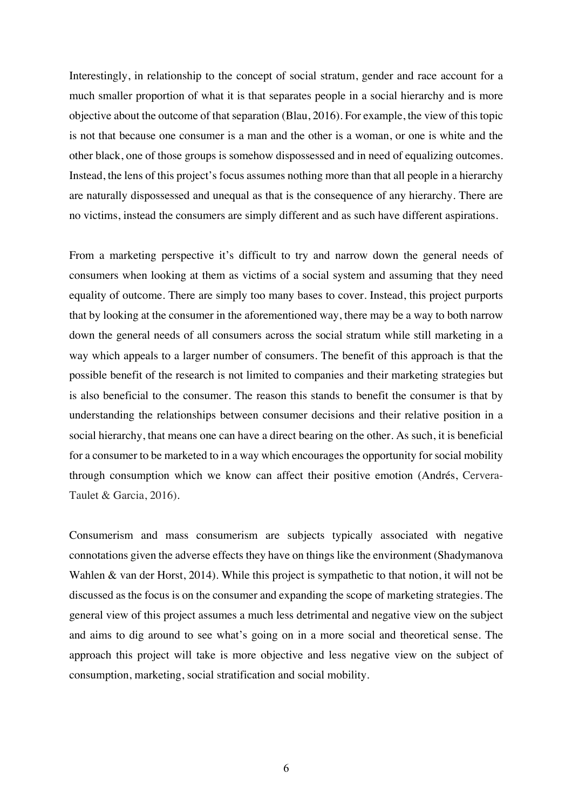Interestingly, in relationship to the concept of social stratum, gender and race account for a much smaller proportion of what it is that separates people in a social hierarchy and is more objective about the outcome of that separation (Blau, 2016). For example, the view of this topic is not that because one consumer is a man and the other is a woman, or one is white and the other black, one of those groups is somehow dispossessed and in need of equalizing outcomes. Instead, the lens of this project's focus assumes nothing more than that all people in a hierarchy are naturally dispossessed and unequal as that is the consequence of any hierarchy. There are no victims, instead the consumers are simply different and as such have different aspirations.

From a marketing perspective it's difficult to try and narrow down the general needs of consumers when looking at them as victims of a social system and assuming that they need equality of outcome. There are simply too many bases to cover. Instead, this project purports that by looking at the consumer in the aforementioned way, there may be a way to both narrow down the general needs of all consumers across the social stratum while still marketing in a way which appeals to a larger number of consumers. The benefit of this approach is that the possible benefit of the research is not limited to companies and their marketing strategies but is also beneficial to the consumer. The reason this stands to benefit the consumer is that by understanding the relationships between consumer decisions and their relative position in a social hierarchy, that means one can have a direct bearing on the other. As such, it is beneficial for a consumer to be marketed to in a way which encourages the opportunity for social mobility through consumption which we know can affect their positive emotion (Andrés, Cervera-Taulet & Garcia, 2016).

Consumerism and mass consumerism are subjects typically associated with negative connotations given the adverse effects they have on things like the environment (Shadymanova Wahlen & van der Horst, 2014). While this project is sympathetic to that notion, it will not be discussed as the focus is on the consumer and expanding the scope of marketing strategies. The general view of this project assumes a much less detrimental and negative view on the subject and aims to dig around to see what's going on in a more social and theoretical sense. The approach this project will take is more objective and less negative view on the subject of consumption, marketing, social stratification and social mobility.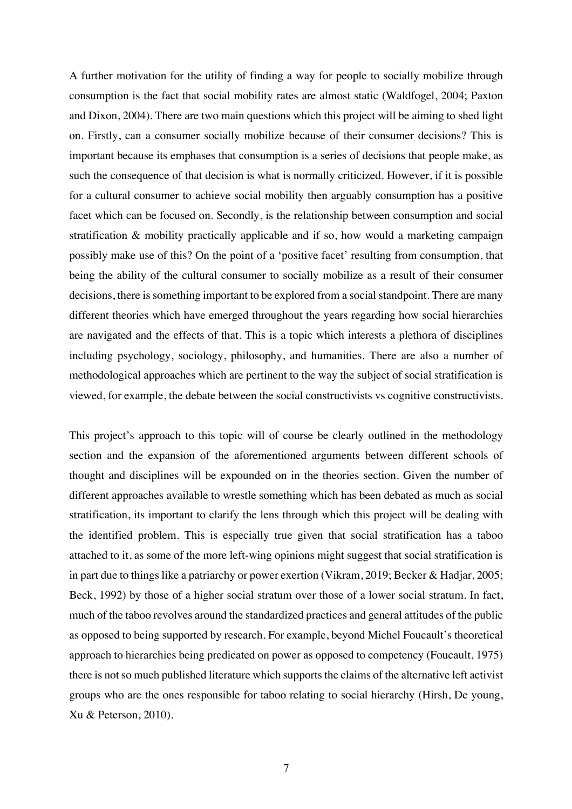A further motivation for the utility of finding a way for people to socially mobilize through consumption is the fact that social mobility rates are almost static (Waldfogel, 2004; Paxton and Dixon, 2004). There are two main questions which this project will be aiming to shed light on. Firstly, can a consumer socially mobilize because of their consumer decisions? This is important because its emphases that consumption is a series of decisions that people make, as such the consequence of that decision is what is normally criticized. However, if it is possible for a cultural consumer to achieve social mobility then arguably consumption has a positive facet which can be focused on. Secondly, is the relationship between consumption and social stratification & mobility practically applicable and if so, how would a marketing campaign possibly make use of this? On the point of a 'positive facet' resulting from consumption, that being the ability of the cultural consumer to socially mobilize as a result of their consumer decisions, there is something important to be explored from a social standpoint. There are many different theories which have emerged throughout the years regarding how social hierarchies are navigated and the effects of that. This is a topic which interests a plethora of disciplines including psychology, sociology, philosophy, and humanities. There are also a number of methodological approaches which are pertinent to the way the subject of social stratification is viewed, for example, the debate between the social constructivists vs cognitive constructivists.

This project's approach to this topic will of course be clearly outlined in the methodology section and the expansion of the aforementioned arguments between different schools of thought and disciplines will be expounded on in the theories section. Given the number of different approaches available to wrestle something which has been debated as much as social stratification, its important to clarify the lens through which this project will be dealing with the identified problem. This is especially true given that social stratification has a taboo attached to it, as some of the more left-wing opinions might suggest that social stratification is in part due to things like a patriarchy or power exertion (Vikram, 2019; Becker & Hadjar, 2005; Beck, 1992) by those of a higher social stratum over those of a lower social stratum. In fact, much of the taboo revolves around the standardized practices and general attitudes of the public as opposed to being supported by research. For example, beyond Michel Foucault's theoretical approach to hierarchies being predicated on power as opposed to competency (Foucault, 1975) there is not so much published literature which supports the claims of the alternative left activist groups who are the ones responsible for taboo relating to social hierarchy (Hirsh, De young, Xu & Peterson, 2010).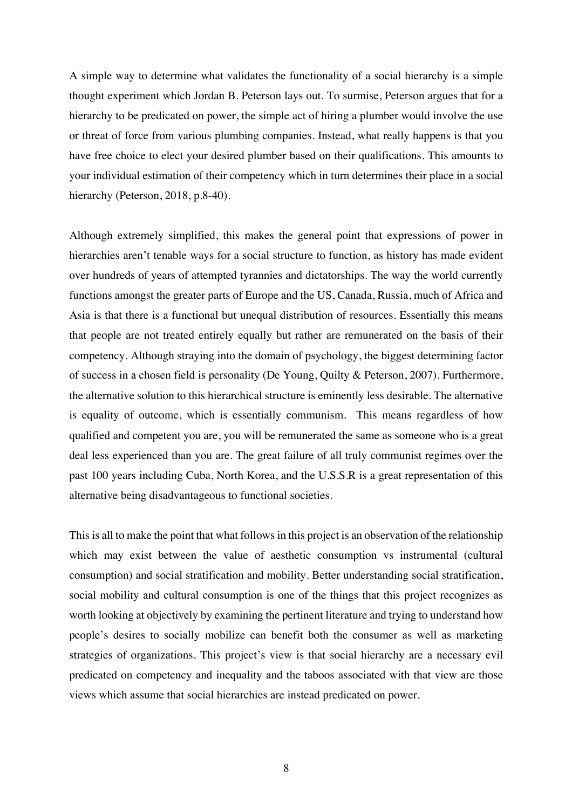A simple way to determine what validates the functionality of a social hierarchy is a simple thought experiment which Jordan B. Peterson lays out. To surmise, Peterson argues that for a hierarchy to be predicated on power, the simple act of hiring a plumber would involve the use or threat of force from various plumbing companies. Instead, what really happens is that you have free choice to elect your desired plumber based on their qualifications. This amounts to your individual estimation of their competency which in turn determines their place in a social hierarchy (Peterson, 2018, p.8-40).

Although extremely simplified, this makes the general point that expressions of power in hierarchies aren't tenable ways for a social structure to function, as history has made evident over hundreds of years of attempted tyrannies and dictatorships. The way the world currently functions amongst the greater parts of Europe and the US, Canada, Russia, much of Africa and Asia is that there is a functional but unequal distribution of resources. Essentially this means that people are not treated entirely equally but rather are remunerated on the basis of their competency. Although straying into the domain of psychology, the biggest determining factor of success in a chosen field is personality (De Young, Quilty & Peterson, 2007). Furthermore, the alternative solution to this hierarchical structure is eminently less desirable. The alternative is equality of outcome, which is essentially communism. This means regardless of how qualified and competent you are, you will be remunerated the same as someone who is a great deal less experienced than you are. The great failure of all truly communist regimes over the past 100 years including Cuba, North Korea, and the U.S.S.R is a great representation of this alternative being disadvantageous to functional societies.

This is all to make the point that what follows in this project is an observation of the relationship which may exist between the value of aesthetic consumption vs instrumental (cultural consumption) and social stratification and mobility. Better understanding social stratification, social mobility and cultural consumption is one of the things that this project recognizes as worth looking at objectively by examining the pertinent literature and trying to understand how people's desires to socially mobilize can benefit both the consumer as well as marketing strategies of organizations. This project's view is that social hierarchy are a necessary evil predicated on competency and inequality and the taboos associated with that view are those views which assume that social hierarchies are instead predicated on power.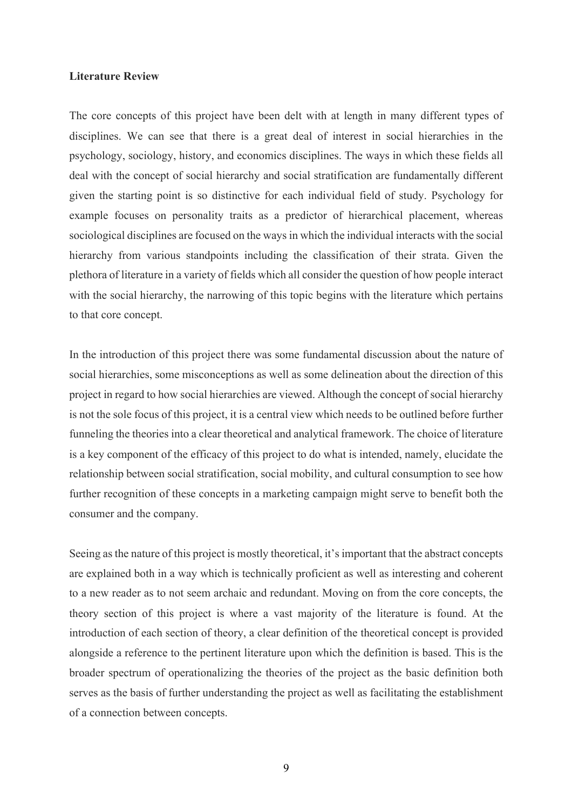## **Literature Review**

The core concepts of this project have been delt with at length in many different types of disciplines. We can see that there is a great deal of interest in social hierarchies in the psychology, sociology, history, and economics disciplines. The ways in which these fields all deal with the concept of social hierarchy and social stratification are fundamentally different given the starting point is so distinctive for each individual field of study. Psychology for example focuses on personality traits as a predictor of hierarchical placement, whereas sociological disciplines are focused on the ways in which the individual interacts with the social hierarchy from various standpoints including the classification of their strata. Given the plethora of literature in a variety of fields which all consider the question of how people interact with the social hierarchy, the narrowing of this topic begins with the literature which pertains to that core concept.

In the introduction of this project there was some fundamental discussion about the nature of social hierarchies, some misconceptions as well as some delineation about the direction of this project in regard to how social hierarchies are viewed. Although the concept of social hierarchy is not the sole focus of this project, it is a central view which needs to be outlined before further funneling the theories into a clear theoretical and analytical framework. The choice of literature is a key component of the efficacy of this project to do what is intended, namely, elucidate the relationship between social stratification, social mobility, and cultural consumption to see how further recognition of these concepts in a marketing campaign might serve to benefit both the consumer and the company.

Seeing as the nature of this project is mostly theoretical, it's important that the abstract concepts are explained both in a way which is technically proficient as well as interesting and coherent to a new reader as to not seem archaic and redundant. Moving on from the core concepts, the theory section of this project is where a vast majority of the literature is found. At the introduction of each section of theory, a clear definition of the theoretical concept is provided alongside a reference to the pertinent literature upon which the definition is based. This is the broader spectrum of operationalizing the theories of the project as the basic definition both serves as the basis of further understanding the project as well as facilitating the establishment of a connection between concepts.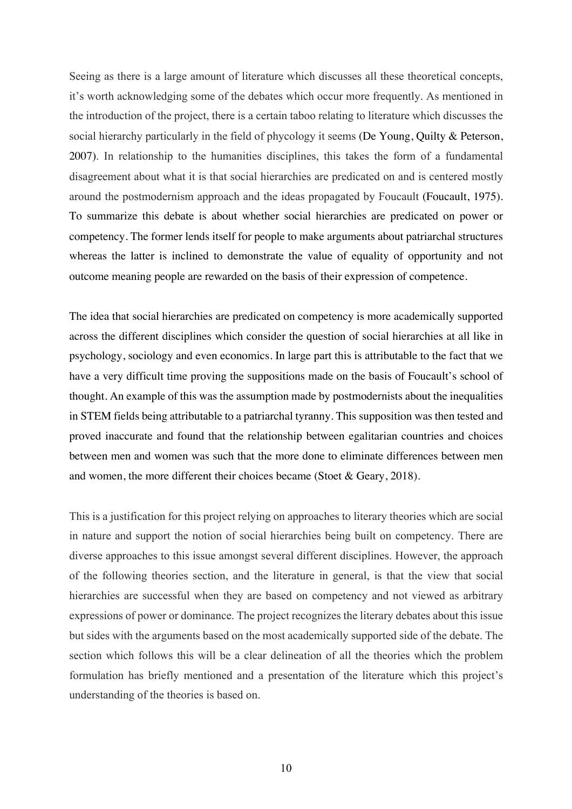Seeing as there is a large amount of literature which discusses all these theoretical concepts, it's worth acknowledging some of the debates which occur more frequently. As mentioned in the introduction of the project, there is a certain taboo relating to literature which discusses the social hierarchy particularly in the field of phycology it seems (De Young, Quilty & Peterson, 2007). In relationship to the humanities disciplines, this takes the form of a fundamental disagreement about what it is that social hierarchies are predicated on and is centered mostly around the postmodernism approach and the ideas propagated by Foucault (Foucault, 1975). To summarize this debate is about whether social hierarchies are predicated on power or competency. The former lends itself for people to make arguments about patriarchal structures whereas the latter is inclined to demonstrate the value of equality of opportunity and not outcome meaning people are rewarded on the basis of their expression of competence.

The idea that social hierarchies are predicated on competency is more academically supported across the different disciplines which consider the question of social hierarchies at all like in psychology, sociology and even economics. In large part this is attributable to the fact that we have a very difficult time proving the suppositions made on the basis of Foucault's school of thought. An example of this was the assumption made by postmodernists about the inequalities in STEM fields being attributable to a patriarchal tyranny. This supposition was then tested and proved inaccurate and found that the relationship between egalitarian countries and choices between men and women was such that the more done to eliminate differences between men and women, the more different their choices became (Stoet & Geary, 2018).

This is a justification for this project relying on approaches to literary theories which are social in nature and support the notion of social hierarchies being built on competency. There are diverse approaches to this issue amongst several different disciplines. However, the approach of the following theories section, and the literature in general, is that the view that social hierarchies are successful when they are based on competency and not viewed as arbitrary expressions of power or dominance. The project recognizes the literary debates about this issue but sides with the arguments based on the most academically supported side of the debate. The section which follows this will be a clear delineation of all the theories which the problem formulation has briefly mentioned and a presentation of the literature which this project's understanding of the theories is based on.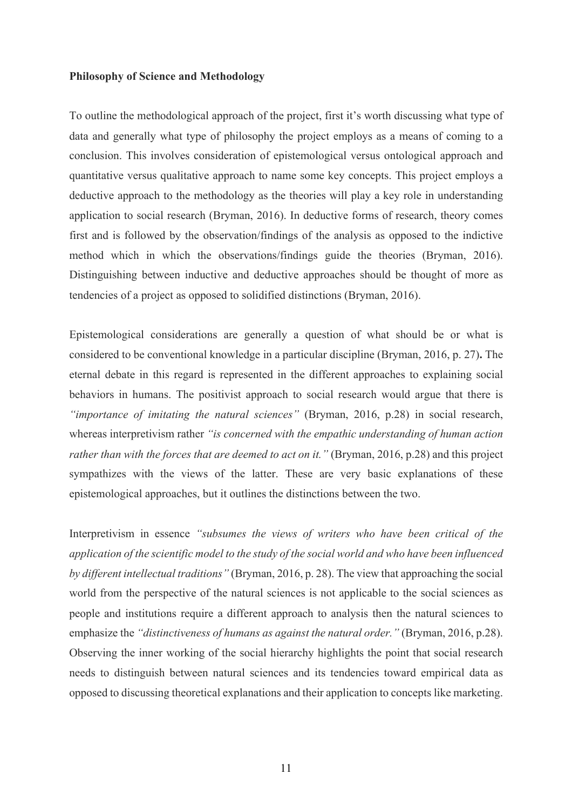## **Philosophy of Science and Methodology**

To outline the methodological approach of the project, first it's worth discussing what type of data and generally what type of philosophy the project employs as a means of coming to a conclusion. This involves consideration of epistemological versus ontological approach and quantitative versus qualitative approach to name some key concepts. This project employs a deductive approach to the methodology as the theories will play a key role in understanding application to social research (Bryman, 2016). In deductive forms of research, theory comes first and is followed by the observation/findings of the analysis as opposed to the indictive method which in which the observations/findings guide the theories (Bryman, 2016). Distinguishing between inductive and deductive approaches should be thought of more as tendencies of a project as opposed to solidified distinctions (Bryman, 2016).

Epistemological considerations are generally a question of what should be or what is considered to be conventional knowledge in a particular discipline (Bryman, 2016, p. 27)**.** The eternal debate in this regard is represented in the different approaches to explaining social behaviors in humans. The positivist approach to social research would argue that there is *"importance of imitating the natural sciences"* (Bryman, 2016, p.28) in social research, whereas interpretivism rather *"is concerned with the empathic understanding of human action rather than with the forces that are deemed to act on it."* (Bryman, 2016, p.28) and this project sympathizes with the views of the latter. These are very basic explanations of these epistemological approaches, but it outlines the distinctions between the two.

Interpretivism in essence *"subsumes the views of writers who have been critical of the application of the scientific model to the study of the social world and who have been influenced by different intellectual traditions"* (Bryman, 2016, p. 28). The view that approaching the social world from the perspective of the natural sciences is not applicable to the social sciences as people and institutions require a different approach to analysis then the natural sciences to emphasize the *"distinctiveness of humans as against the natural order."* (Bryman, 2016, p.28). Observing the inner working of the social hierarchy highlights the point that social research needs to distinguish between natural sciences and its tendencies toward empirical data as opposed to discussing theoretical explanations and their application to concepts like marketing.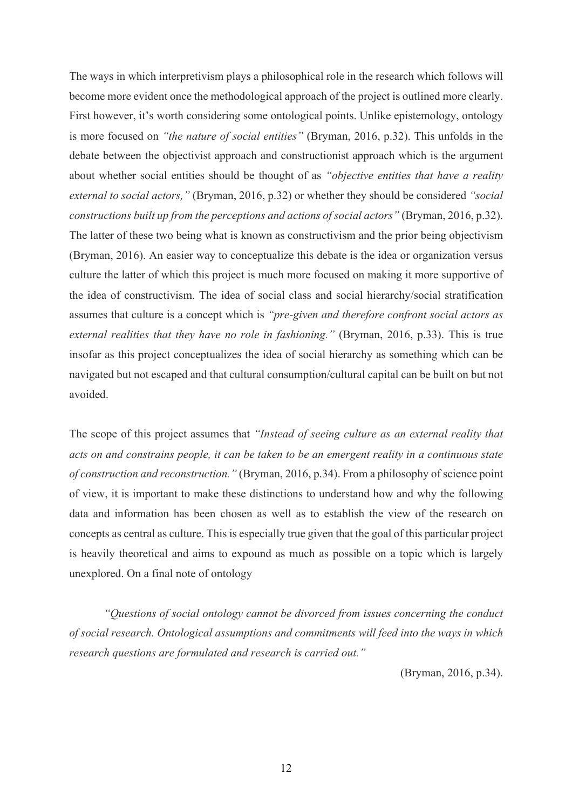The ways in which interpretivism plays a philosophical role in the research which follows will become more evident once the methodological approach of the project is outlined more clearly. First however, it's worth considering some ontological points. Unlike epistemology, ontology is more focused on *"the nature of social entities"* (Bryman, 2016, p.32). This unfolds in the debate between the objectivist approach and constructionist approach which is the argument about whether social entities should be thought of as *"objective entities that have a reality external to social actors,"* (Bryman, 2016, p.32) or whether they should be considered *"social constructions built up from the perceptions and actions of social actors"* (Bryman, 2016, p.32). The latter of these two being what is known as constructivism and the prior being objectivism (Bryman, 2016). An easier way to conceptualize this debate is the idea or organization versus culture the latter of which this project is much more focused on making it more supportive of the idea of constructivism. The idea of social class and social hierarchy/social stratification assumes that culture is a concept which is *"pre-given and therefore confront social actors as external realities that they have no role in fashioning."* (Bryman, 2016, p.33). This is true insofar as this project conceptualizes the idea of social hierarchy as something which can be navigated but not escaped and that cultural consumption/cultural capital can be built on but not avoided.

The scope of this project assumes that *"Instead of seeing culture as an external reality that acts on and constrains people, it can be taken to be an emergent reality in a continuous state of construction and reconstruction."* (Bryman, 2016, p.34). From a philosophy of science point of view, it is important to make these distinctions to understand how and why the following data and information has been chosen as well as to establish the view of the research on concepts as central as culture. This is especially true given that the goal of this particular project is heavily theoretical and aims to expound as much as possible on a topic which is largely unexplored. On a final note of ontology

*"Questions of social ontology cannot be divorced from issues concerning the conduct of social research. Ontological assumptions and commitments will feed into the ways in which research questions are formulated and research is carried out."*

(Bryman, 2016, p.34).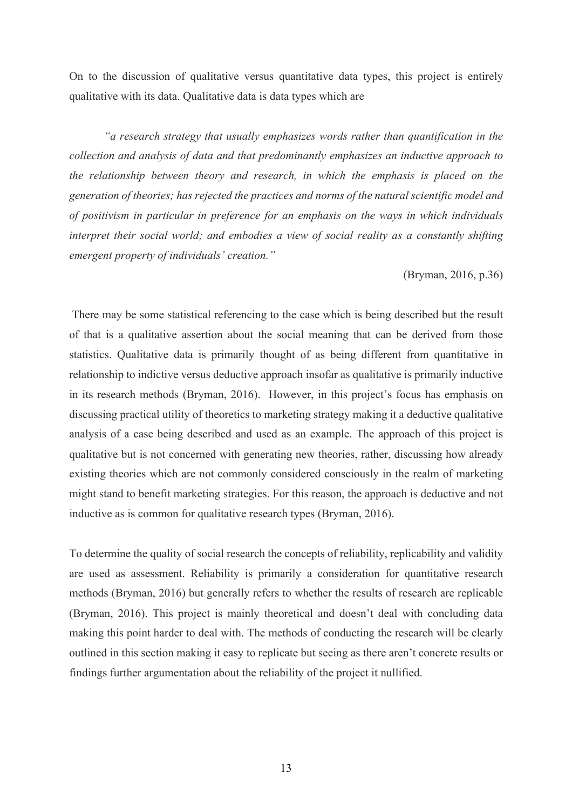On to the discussion of qualitative versus quantitative data types, this project is entirely qualitative with its data. Qualitative data is data types which are

*"a research strategy that usually emphasizes words rather than quantification in the collection and analysis of data and that predominantly emphasizes an inductive approach to the relationship between theory and research, in which the emphasis is placed on the generation of theories; has rejected the practices and norms of the natural scientific model and of positivism in particular in preference for an emphasis on the ways in which individuals interpret their social world; and embodies a view of social reality as a constantly shifting emergent property of individuals' creation."*

(Bryman, 2016, p.36)

There may be some statistical referencing to the case which is being described but the result of that is a qualitative assertion about the social meaning that can be derived from those statistics. Qualitative data is primarily thought of as being different from quantitative in relationship to indictive versus deductive approach insofar as qualitative is primarily inductive in its research methods (Bryman, 2016). However, in this project's focus has emphasis on discussing practical utility of theoretics to marketing strategy making it a deductive qualitative analysis of a case being described and used as an example. The approach of this project is qualitative but is not concerned with generating new theories, rather, discussing how already existing theories which are not commonly considered consciously in the realm of marketing might stand to benefit marketing strategies. For this reason, the approach is deductive and not inductive as is common for qualitative research types (Bryman, 2016).

To determine the quality of social research the concepts of reliability, replicability and validity are used as assessment. Reliability is primarily a consideration for quantitative research methods (Bryman, 2016) but generally refers to whether the results of research are replicable (Bryman, 2016). This project is mainly theoretical and doesn't deal with concluding data making this point harder to deal with. The methods of conducting the research will be clearly outlined in this section making it easy to replicate but seeing as there aren't concrete results or findings further argumentation about the reliability of the project it nullified.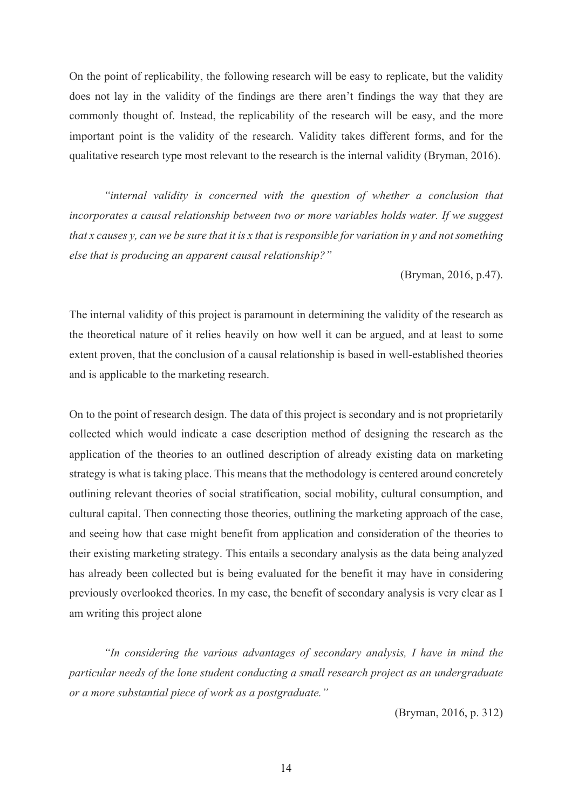On the point of replicability, the following research will be easy to replicate, but the validity does not lay in the validity of the findings are there aren't findings the way that they are commonly thought of. Instead, the replicability of the research will be easy, and the more important point is the validity of the research. Validity takes different forms, and for the qualitative research type most relevant to the research is the internal validity (Bryman, 2016).

*"internal validity is concerned with the question of whether a conclusion that incorporates a causal relationship between two or more variables holds water. If we suggest that x causes y, can we be sure that it is x that is responsible for variation in y and not something else that is producing an apparent causal relationship?"*

(Bryman, 2016, p.47).

The internal validity of this project is paramount in determining the validity of the research as the theoretical nature of it relies heavily on how well it can be argued, and at least to some extent proven, that the conclusion of a causal relationship is based in well-established theories and is applicable to the marketing research.

On to the point of research design. The data of this project is secondary and is not proprietarily collected which would indicate a case description method of designing the research as the application of the theories to an outlined description of already existing data on marketing strategy is what is taking place. This means that the methodology is centered around concretely outlining relevant theories of social stratification, social mobility, cultural consumption, and cultural capital. Then connecting those theories, outlining the marketing approach of the case, and seeing how that case might benefit from application and consideration of the theories to their existing marketing strategy. This entails a secondary analysis as the data being analyzed has already been collected but is being evaluated for the benefit it may have in considering previously overlooked theories. In my case, the benefit of secondary analysis is very clear as I am writing this project alone

*"In considering the various advantages of secondary analysis, I have in mind the particular needs of the lone student conducting a small research project as an undergraduate or a more substantial piece of work as a postgraduate."*

(Bryman, 2016, p. 312)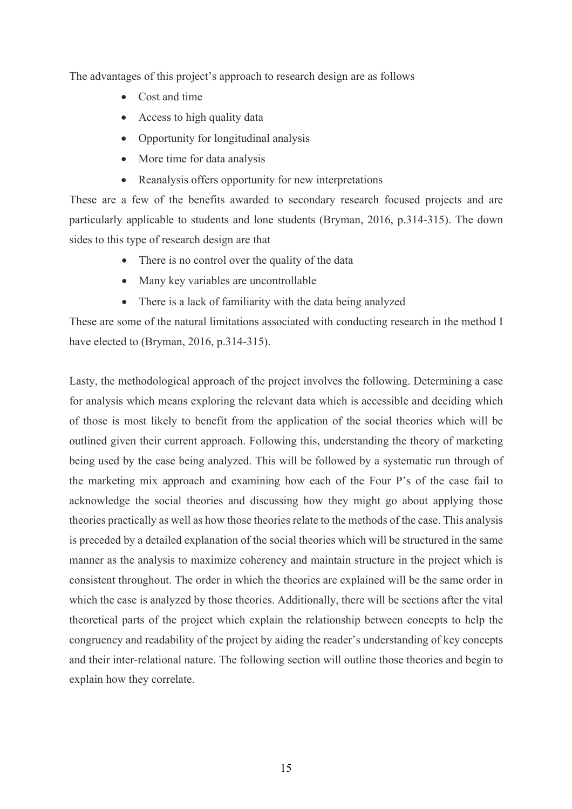The advantages of this project's approach to research design are as follows

- Cost and time
- Access to high quality data
- Opportunity for longitudinal analysis
- More time for data analysis
- Reanalysis offers opportunity for new interpretations

These are a few of the benefits awarded to secondary research focused projects and are particularly applicable to students and lone students (Bryman, 2016, p.314-315). The down sides to this type of research design are that

- There is no control over the quality of the data
- Many key variables are uncontrollable
- There is a lack of familiarity with the data being analyzed

These are some of the natural limitations associated with conducting research in the method I have elected to (Bryman, 2016, p.314-315).

Lasty, the methodological approach of the project involves the following. Determining a case for analysis which means exploring the relevant data which is accessible and deciding which of those is most likely to benefit from the application of the social theories which will be outlined given their current approach. Following this, understanding the theory of marketing being used by the case being analyzed. This will be followed by a systematic run through of the marketing mix approach and examining how each of the Four P's of the case fail to acknowledge the social theories and discussing how they might go about applying those theories practically as well as how those theories relate to the methods of the case. This analysis is preceded by a detailed explanation of the social theories which will be structured in the same manner as the analysis to maximize coherency and maintain structure in the project which is consistent throughout. The order in which the theories are explained will be the same order in which the case is analyzed by those theories. Additionally, there will be sections after the vital theoretical parts of the project which explain the relationship between concepts to help the congruency and readability of the project by aiding the reader's understanding of key concepts and their inter-relational nature. The following section will outline those theories and begin to explain how they correlate.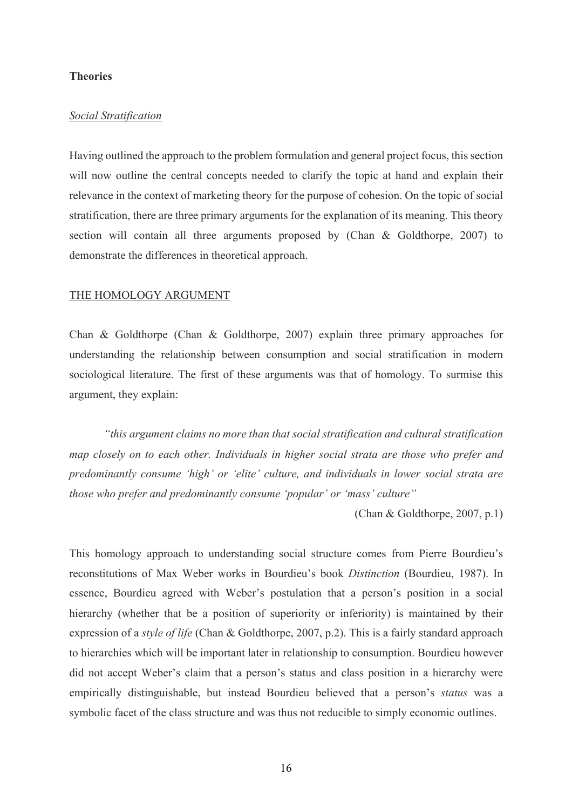## **Theories**

## *Social Stratification*

Having outlined the approach to the problem formulation and general project focus, this section will now outline the central concepts needed to clarify the topic at hand and explain their relevance in the context of marketing theory for the purpose of cohesion. On the topic of social stratification, there are three primary arguments for the explanation of its meaning. This theory section will contain all three arguments proposed by (Chan & Goldthorpe, 2007) to demonstrate the differences in theoretical approach.

#### THE HOMOLOGY ARGUMENT

Chan & Goldthorpe (Chan & Goldthorpe, 2007) explain three primary approaches for understanding the relationship between consumption and social stratification in modern sociological literature. The first of these arguments was that of homology. To surmise this argument, they explain:

*"this argument claims no more than that social stratification and cultural stratification map closely on to each other. Individuals in higher social strata are those who prefer and predominantly consume 'high' or 'elite' culture, and individuals in lower social strata are those who prefer and predominantly consume 'popular' or 'mass' culture"*

(Chan & Goldthorpe, 2007, p.1)

This homology approach to understanding social structure comes from Pierre Bourdieu's reconstitutions of Max Weber works in Bourdieu's book *Distinction* (Bourdieu, 1987). In essence, Bourdieu agreed with Weber's postulation that a person's position in a social hierarchy (whether that be a position of superiority or inferiority) is maintained by their expression of a *style of life* (Chan & Goldthorpe, 2007, p.2). This is a fairly standard approach to hierarchies which will be important later in relationship to consumption. Bourdieu however did not accept Weber's claim that a person's status and class position in a hierarchy were empirically distinguishable, but instead Bourdieu believed that a person's *status* was a symbolic facet of the class structure and was thus not reducible to simply economic outlines.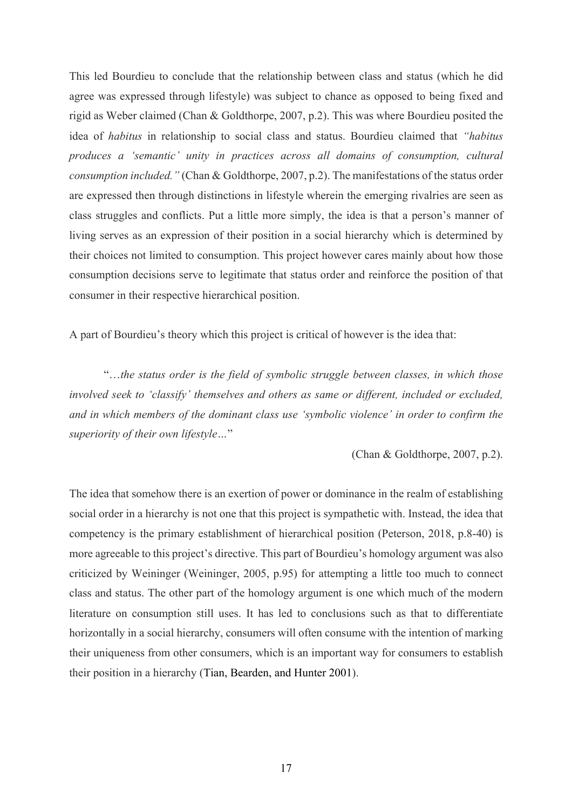This led Bourdieu to conclude that the relationship between class and status (which he did agree was expressed through lifestyle) was subject to chance as opposed to being fixed and rigid as Weber claimed (Chan & Goldthorpe, 2007, p.2). This was where Bourdieu posited the idea of *habitus* in relationship to social class and status. Bourdieu claimed that *"habitus produces a 'semantic' unity in practices across all domains of consumption, cultural consumption included."* (Chan & Goldthorpe, 2007, p.2). The manifestations of the status order are expressed then through distinctions in lifestyle wherein the emerging rivalries are seen as class struggles and conflicts. Put a little more simply, the idea is that a person's manner of living serves as an expression of their position in a social hierarchy which is determined by their choices not limited to consumption. This project however cares mainly about how those consumption decisions serve to legitimate that status order and reinforce the position of that consumer in their respective hierarchical position.

A part of Bourdieu's theory which this project is critical of however is the idea that:

"…*the status order is the field of symbolic struggle between classes, in which those involved seek to 'classify' themselves and others as same or different, included or excluded, and in which members of the dominant class use 'symbolic violence' in order to confirm the superiority of their own lifestyle…*"

(Chan & Goldthorpe, 2007, p.2).

The idea that somehow there is an exertion of power or dominance in the realm of establishing social order in a hierarchy is not one that this project is sympathetic with. Instead, the idea that competency is the primary establishment of hierarchical position (Peterson, 2018, p.8-40) is more agreeable to this project's directive. This part of Bourdieu's homology argument was also criticized by Weininger (Weininger, 2005, p.95) for attempting a little too much to connect class and status. The other part of the homology argument is one which much of the modern literature on consumption still uses. It has led to conclusions such as that to differentiate horizontally in a social hierarchy, consumers will often consume with the intention of marking their uniqueness from other consumers, which is an important way for consumers to establish their position in a hierarchy (Tian, Bearden, and Hunter 2001).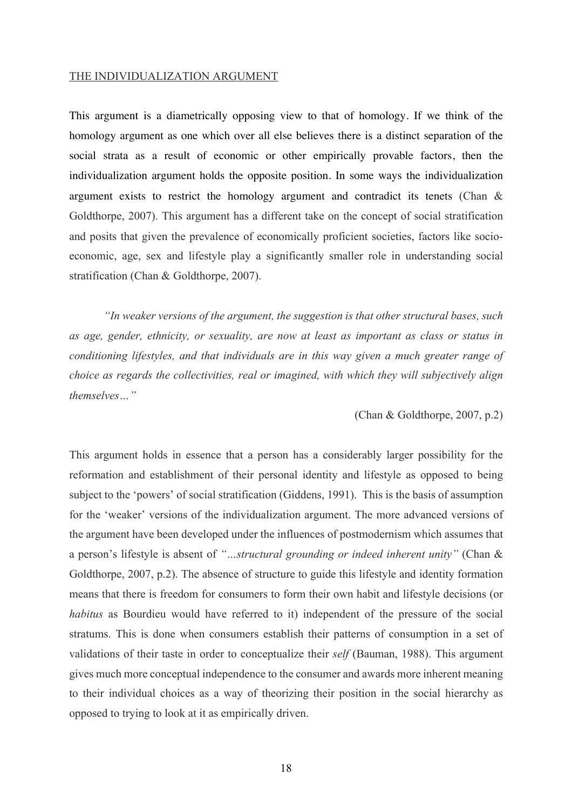## THE INDIVIDUALIZATION ARGUMENT

This argument is a diametrically opposing view to that of homology. If we think of the homology argument as one which over all else believes there is a distinct separation of the social strata as a result of economic or other empirically provable factors, then the individualization argument holds the opposite position. In some ways the individualization argument exists to restrict the homology argument and contradict its tenets (Chan & Goldthorpe, 2007). This argument has a different take on the concept of social stratification and posits that given the prevalence of economically proficient societies, factors like socioeconomic, age, sex and lifestyle play a significantly smaller role in understanding social stratification (Chan & Goldthorpe, 2007).

*"In weaker versions of the argument, the suggestion is that other structural bases, such as age, gender, ethnicity, or sexuality, are now at least as important as class or status in conditioning lifestyles, and that individuals are in this way given a much greater range of choice as regards the collectivities, real or imagined, with which they will subjectively align themselves…"*

(Chan & Goldthorpe, 2007, p.2)

This argument holds in essence that a person has a considerably larger possibility for the reformation and establishment of their personal identity and lifestyle as opposed to being subject to the 'powers' of social stratification (Giddens, 1991). This is the basis of assumption for the 'weaker' versions of the individualization argument. The more advanced versions of the argument have been developed under the influences of postmodernism which assumes that a person's lifestyle is absent of *"…structural grounding or indeed inherent unity"* (Chan & Goldthorpe, 2007, p.2). The absence of structure to guide this lifestyle and identity formation means that there is freedom for consumers to form their own habit and lifestyle decisions (or *habitus* as Bourdieu would have referred to it) independent of the pressure of the social stratums. This is done when consumers establish their patterns of consumption in a set of validations of their taste in order to conceptualize their *self* (Bauman, 1988). This argument gives much more conceptual independence to the consumer and awards more inherent meaning to their individual choices as a way of theorizing their position in the social hierarchy as opposed to trying to look at it as empirically driven.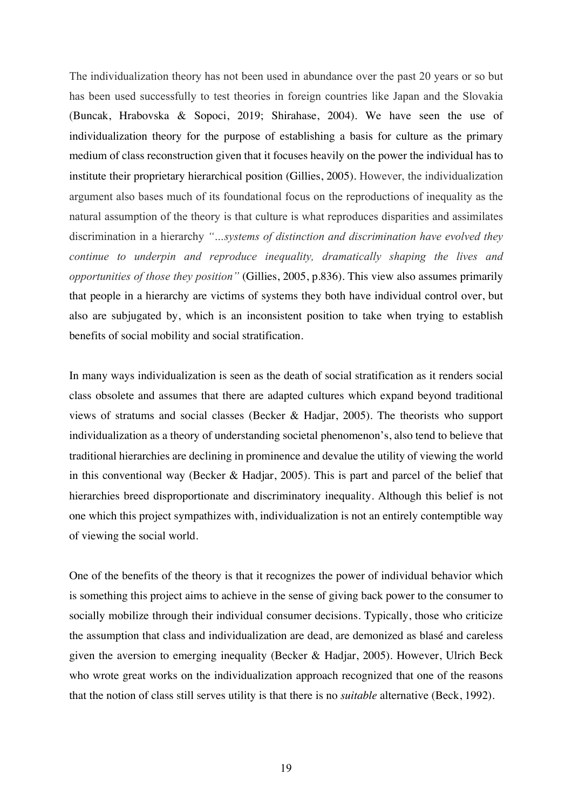The individualization theory has not been used in abundance over the past 20 years or so but has been used successfully to test theories in foreign countries like Japan and the Slovakia (Buncak, Hrabovska & Sopoci, 2019; Shirahase, 2004). We have seen the use of individualization theory for the purpose of establishing a basis for culture as the primary medium of class reconstruction given that it focuses heavily on the power the individual has to institute their proprietary hierarchical position (Gillies, 2005). However, the individualization argument also bases much of its foundational focus on the reproductions of inequality as the natural assumption of the theory is that culture is what reproduces disparities and assimilates discrimination in a hierarchy *"…systems of distinction and discrimination have evolved they continue to underpin and reproduce inequality, dramatically shaping the lives and opportunities of those they position"* (Gillies, 2005, p.836). This view also assumes primarily that people in a hierarchy are victims of systems they both have individual control over, but also are subjugated by, which is an inconsistent position to take when trying to establish benefits of social mobility and social stratification.

In many ways individualization is seen as the death of social stratification as it renders social class obsolete and assumes that there are adapted cultures which expand beyond traditional views of stratums and social classes (Becker & Hadjar, 2005). The theorists who support individualization as a theory of understanding societal phenomenon's, also tend to believe that traditional hierarchies are declining in prominence and devalue the utility of viewing the world in this conventional way (Becker & Hadjar, 2005). This is part and parcel of the belief that hierarchies breed disproportionate and discriminatory inequality. Although this belief is not one which this project sympathizes with, individualization is not an entirely contemptible way of viewing the social world.

One of the benefits of the theory is that it recognizes the power of individual behavior which is something this project aims to achieve in the sense of giving back power to the consumer to socially mobilize through their individual consumer decisions. Typically, those who criticize the assumption that class and individualization are dead, are demonized as blasé and careless given the aversion to emerging inequality (Becker & Hadjar, 2005). However, Ulrich Beck who wrote great works on the individualization approach recognized that one of the reasons that the notion of class still serves utility is that there is no *suitable* alternative (Beck, 1992).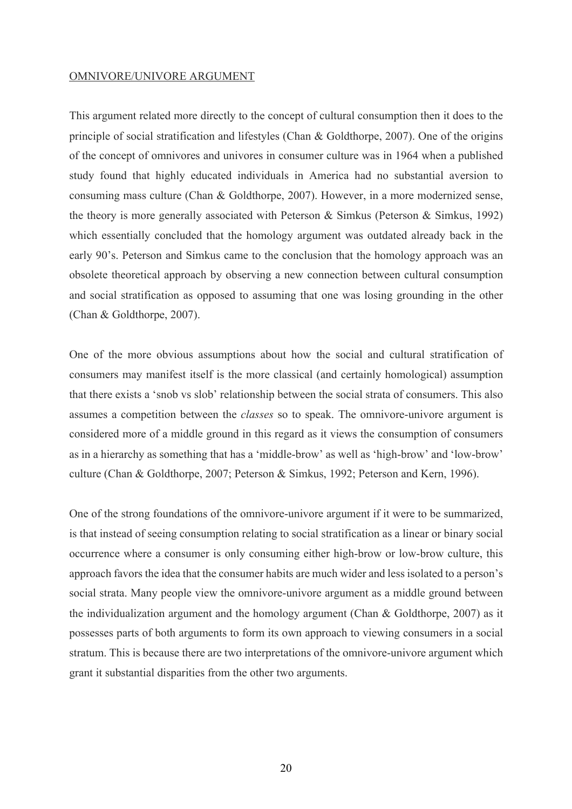#### OMNIVORE/UNIVORE ARGUMENT

This argument related more directly to the concept of cultural consumption then it does to the principle of social stratification and lifestyles (Chan & Goldthorpe, 2007). One of the origins of the concept of omnivores and univores in consumer culture was in 1964 when a published study found that highly educated individuals in America had no substantial aversion to consuming mass culture (Chan & Goldthorpe, 2007). However, in a more modernized sense, the theory is more generally associated with Peterson & Simkus (Peterson & Simkus, 1992) which essentially concluded that the homology argument was outdated already back in the early 90's. Peterson and Simkus came to the conclusion that the homology approach was an obsolete theoretical approach by observing a new connection between cultural consumption and social stratification as opposed to assuming that one was losing grounding in the other (Chan & Goldthorpe, 2007).

One of the more obvious assumptions about how the social and cultural stratification of consumers may manifest itself is the more classical (and certainly homological) assumption that there exists a 'snob vs slob' relationship between the social strata of consumers. This also assumes a competition between the *classes* so to speak. The omnivore-univore argument is considered more of a middle ground in this regard as it views the consumption of consumers as in a hierarchy as something that has a 'middle-brow' as well as 'high-brow' and 'low-brow' culture (Chan & Goldthorpe, 2007; Peterson & Simkus, 1992; Peterson and Kern, 1996).

One of the strong foundations of the omnivore-univore argument if it were to be summarized, is that instead of seeing consumption relating to social stratification as a linear or binary social occurrence where a consumer is only consuming either high-brow or low-brow culture, this approach favors the idea that the consumer habits are much wider and less isolated to a person's social strata. Many people view the omnivore-univore argument as a middle ground between the individualization argument and the homology argument (Chan & Goldthorpe, 2007) as it possesses parts of both arguments to form its own approach to viewing consumers in a social stratum. This is because there are two interpretations of the omnivore-univore argument which grant it substantial disparities from the other two arguments.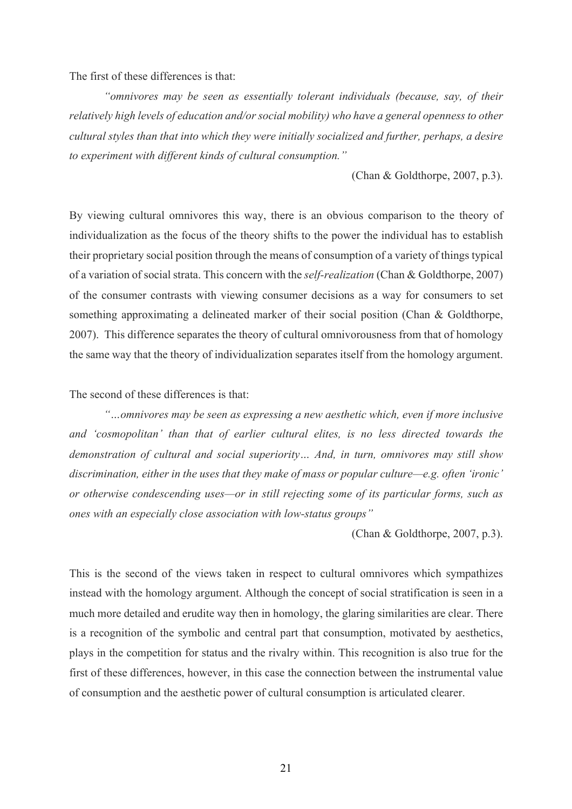The first of these differences is that:

*"omnivores may be seen as essentially tolerant individuals (because, say, of their relatively high levels of education and/or social mobility) who have a general openness to other cultural styles than that into which they were initially socialized and further, perhaps, a desire to experiment with different kinds of cultural consumption."* 

(Chan & Goldthorpe, 2007, p.3).

By viewing cultural omnivores this way, there is an obvious comparison to the theory of individualization as the focus of the theory shifts to the power the individual has to establish their proprietary social position through the means of consumption of a variety of things typical of a variation of social strata. This concern with the *self-realization* (Chan & Goldthorpe, 2007) of the consumer contrasts with viewing consumer decisions as a way for consumers to set something approximating a delineated marker of their social position (Chan & Goldthorpe, 2007). This difference separates the theory of cultural omnivorousness from that of homology the same way that the theory of individualization separates itself from the homology argument.

The second of these differences is that:

*"…omnivores may be seen as expressing a new aesthetic which, even if more inclusive and 'cosmopolitan' than that of earlier cultural elites, is no less directed towards the demonstration of cultural and social superiority… And, in turn, omnivores may still show discrimination, either in the uses that they make of mass or popular culture—e.g. often 'ironic' or otherwise condescending uses—or in still rejecting some of its particular forms, such as ones with an especially close association with low-status groups"*

(Chan & Goldthorpe, 2007, p.3).

This is the second of the views taken in respect to cultural omnivores which sympathizes instead with the homology argument. Although the concept of social stratification is seen in a much more detailed and erudite way then in homology, the glaring similarities are clear. There is a recognition of the symbolic and central part that consumption, motivated by aesthetics, plays in the competition for status and the rivalry within. This recognition is also true for the first of these differences, however, in this case the connection between the instrumental value of consumption and the aesthetic power of cultural consumption is articulated clearer.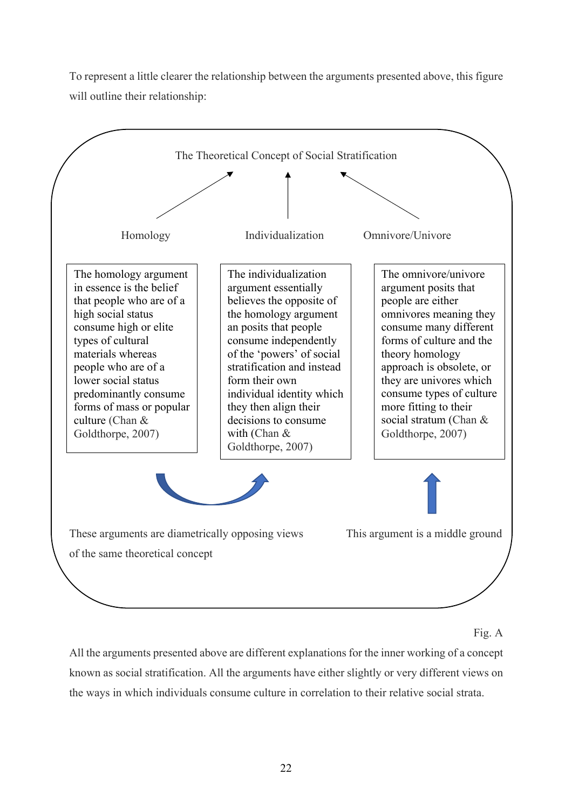To represent a little clearer the relationship between the arguments presented above, this figure will outline their relationship:



## Fig. A

All the arguments presented above are different explanations for the inner working of a concept known as social stratification. All the arguments have either slightly or very different views on the ways in which individuals consume culture in correlation to their relative social strata.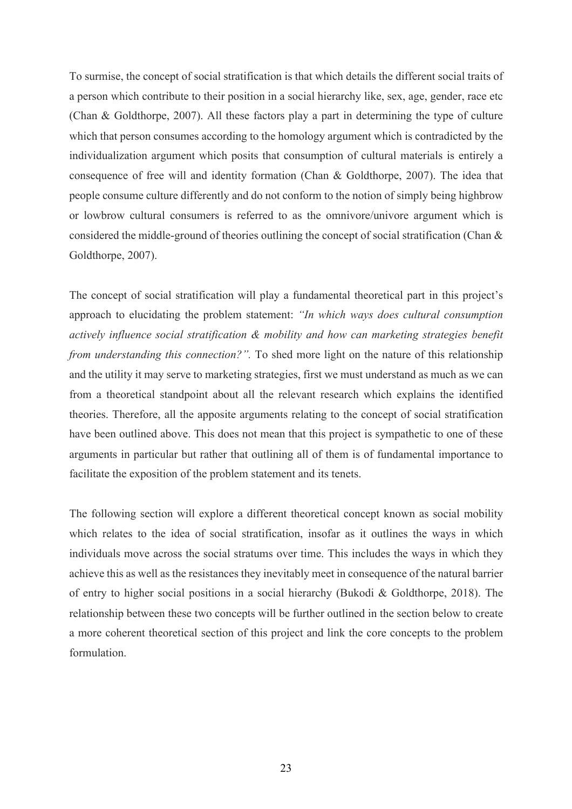To surmise, the concept of social stratification is that which details the different social traits of a person which contribute to their position in a social hierarchy like, sex, age, gender, race etc (Chan & Goldthorpe, 2007). All these factors play a part in determining the type of culture which that person consumes according to the homology argument which is contradicted by the individualization argument which posits that consumption of cultural materials is entirely a consequence of free will and identity formation (Chan & Goldthorpe, 2007). The idea that people consume culture differently and do not conform to the notion of simply being highbrow or lowbrow cultural consumers is referred to as the omnivore/univore argument which is considered the middle-ground of theories outlining the concept of social stratification (Chan & Goldthorpe, 2007).

The concept of social stratification will play a fundamental theoretical part in this project's approach to elucidating the problem statement: *"In which ways does cultural consumption actively influence social stratification & mobility and how can marketing strategies benefit from understanding this connection?".* To shed more light on the nature of this relationship and the utility it may serve to marketing strategies, first we must understand as much as we can from a theoretical standpoint about all the relevant research which explains the identified theories. Therefore, all the apposite arguments relating to the concept of social stratification have been outlined above. This does not mean that this project is sympathetic to one of these arguments in particular but rather that outlining all of them is of fundamental importance to facilitate the exposition of the problem statement and its tenets.

The following section will explore a different theoretical concept known as social mobility which relates to the idea of social stratification, insofar as it outlines the ways in which individuals move across the social stratums over time. This includes the ways in which they achieve this as well as the resistances they inevitably meet in consequence of the natural barrier of entry to higher social positions in a social hierarchy (Bukodi & Goldthorpe, 2018). The relationship between these two concepts will be further outlined in the section below to create a more coherent theoretical section of this project and link the core concepts to the problem formulation.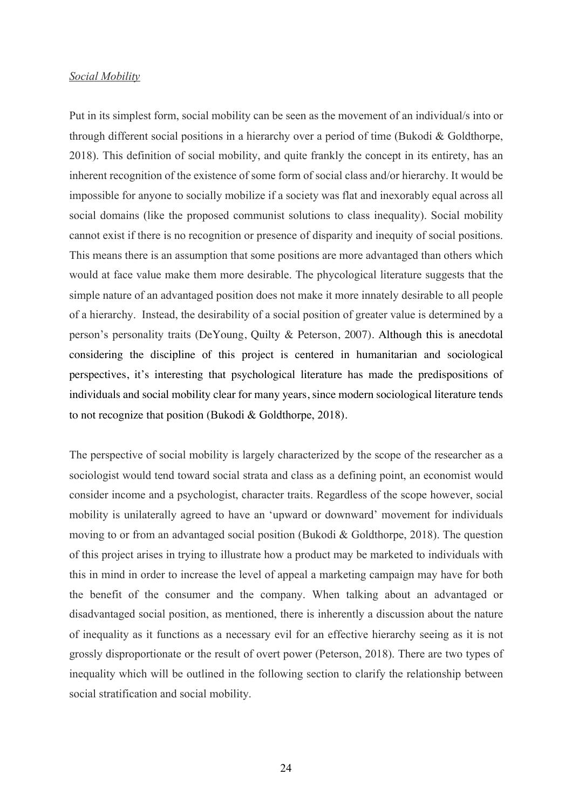## *Social Mobility*

Put in its simplest form, social mobility can be seen as the movement of an individual/s into or through different social positions in a hierarchy over a period of time (Bukodi & Goldthorpe, 2018). This definition of social mobility, and quite frankly the concept in its entirety, has an inherent recognition of the existence of some form of social class and/or hierarchy. It would be impossible for anyone to socially mobilize if a society was flat and inexorably equal across all social domains (like the proposed communist solutions to class inequality). Social mobility cannot exist if there is no recognition or presence of disparity and inequity of social positions. This means there is an assumption that some positions are more advantaged than others which would at face value make them more desirable. The phycological literature suggests that the simple nature of an advantaged position does not make it more innately desirable to all people of a hierarchy. Instead, the desirability of a social position of greater value is determined by a person's personality traits (DeYoung, Quilty & Peterson, 2007). Although this is anecdotal considering the discipline of this project is centered in humanitarian and sociological perspectives, it's interesting that psychological literature has made the predispositions of individuals and social mobility clear for many years, since modern sociological literature tends to not recognize that position (Bukodi & Goldthorpe, 2018).

The perspective of social mobility is largely characterized by the scope of the researcher as a sociologist would tend toward social strata and class as a defining point, an economist would consider income and a psychologist, character traits. Regardless of the scope however, social mobility is unilaterally agreed to have an 'upward or downward' movement for individuals moving to or from an advantaged social position (Bukodi & Goldthorpe, 2018). The question of this project arises in trying to illustrate how a product may be marketed to individuals with this in mind in order to increase the level of appeal a marketing campaign may have for both the benefit of the consumer and the company. When talking about an advantaged or disadvantaged social position, as mentioned, there is inherently a discussion about the nature of inequality as it functions as a necessary evil for an effective hierarchy seeing as it is not grossly disproportionate or the result of overt power (Peterson, 2018). There are two types of inequality which will be outlined in the following section to clarify the relationship between social stratification and social mobility.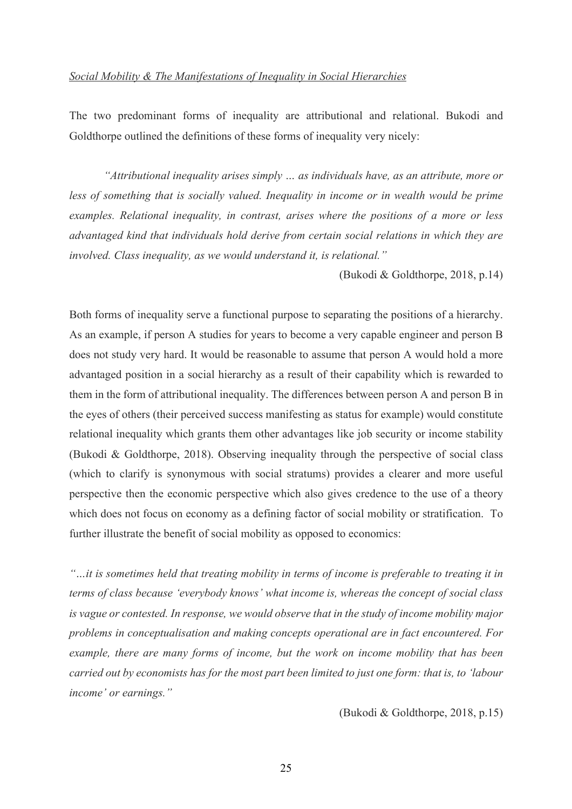The two predominant forms of inequality are attributional and relational. Bukodi and Goldthorpe outlined the definitions of these forms of inequality very nicely:

*"Attributional inequality arises simply … as individuals have, as an attribute, more or*  less of something that is socially valued. Inequality in income or in wealth would be prime *examples. Relational inequality, in contrast, arises where the positions of a more or less advantaged kind that individuals hold derive from certain social relations in which they are involved. Class inequality, as we would understand it, is relational."*

(Bukodi & Goldthorpe, 2018, p.14)

Both forms of inequality serve a functional purpose to separating the positions of a hierarchy. As an example, if person A studies for years to become a very capable engineer and person B does not study very hard. It would be reasonable to assume that person A would hold a more advantaged position in a social hierarchy as a result of their capability which is rewarded to them in the form of attributional inequality. The differences between person A and person B in the eyes of others (their perceived success manifesting as status for example) would constitute relational inequality which grants them other advantages like job security or income stability (Bukodi & Goldthorpe, 2018). Observing inequality through the perspective of social class (which to clarify is synonymous with social stratums) provides a clearer and more useful perspective then the economic perspective which also gives credence to the use of a theory which does not focus on economy as a defining factor of social mobility or stratification. To further illustrate the benefit of social mobility as opposed to economics:

*"…it is sometimes held that treating mobility in terms of income is preferable to treating it in terms of class because 'everybody knows' what income is, whereas the concept of social class is vague or contested. In response, we would observe that in the study of income mobility major problems in conceptualisation and making concepts operational are in fact encountered. For example, there are many forms of income, but the work on income mobility that has been carried out by economists has for the most part been limited to just one form: that is, to 'labour income' or earnings."*

(Bukodi & Goldthorpe, 2018, p.15)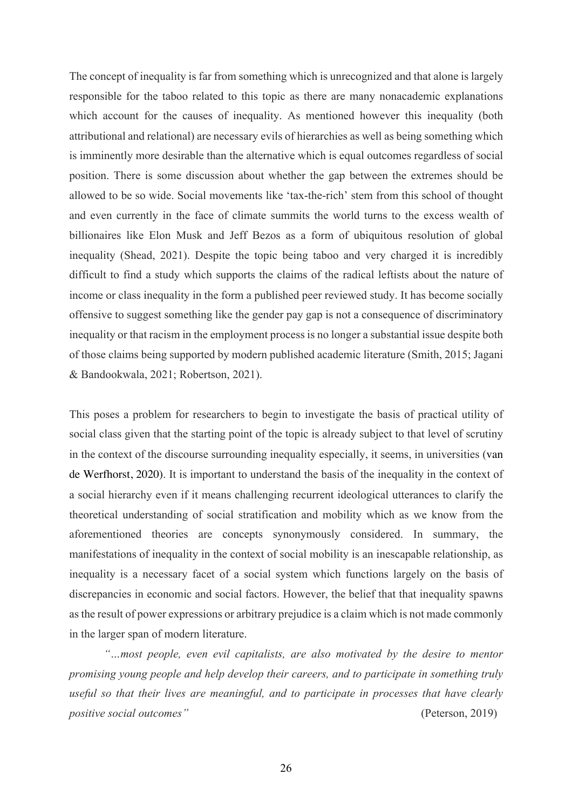The concept of inequality is far from something which is unrecognized and that alone is largely responsible for the taboo related to this topic as there are many nonacademic explanations which account for the causes of inequality. As mentioned however this inequality (both attributional and relational) are necessary evils of hierarchies as well as being something which is imminently more desirable than the alternative which is equal outcomes regardless of social position. There is some discussion about whether the gap between the extremes should be allowed to be so wide. Social movements like 'tax-the-rich' stem from this school of thought and even currently in the face of climate summits the world turns to the excess wealth of billionaires like Elon Musk and Jeff Bezos as a form of ubiquitous resolution of global inequality (Shead, 2021). Despite the topic being taboo and very charged it is incredibly difficult to find a study which supports the claims of the radical leftists about the nature of income or class inequality in the form a published peer reviewed study. It has become socially offensive to suggest something like the gender pay gap is not a consequence of discriminatory inequality or that racism in the employment process is no longer a substantial issue despite both of those claims being supported by modern published academic literature (Smith, 2015; Jagani & Bandookwala, 2021; Robertson, 2021).

This poses a problem for researchers to begin to investigate the basis of practical utility of social class given that the starting point of the topic is already subject to that level of scrutiny in the context of the discourse surrounding inequality especially, it seems, in universities (van de Werfhorst, 2020). It is important to understand the basis of the inequality in the context of a social hierarchy even if it means challenging recurrent ideological utterances to clarify the theoretical understanding of social stratification and mobility which as we know from the aforementioned theories are concepts synonymously considered. In summary, the manifestations of inequality in the context of social mobility is an inescapable relationship, as inequality is a necessary facet of a social system which functions largely on the basis of discrepancies in economic and social factors. However, the belief that that inequality spawns as the result of power expressions or arbitrary prejudice is a claim which is not made commonly in the larger span of modern literature.

*"…most people, even evil capitalists, are also motivated by the desire to mentor promising young people and help develop their careers, and to participate in something truly useful so that their lives are meaningful, and to participate in processes that have clearly positive social outcomes"* (Peterson, 2019)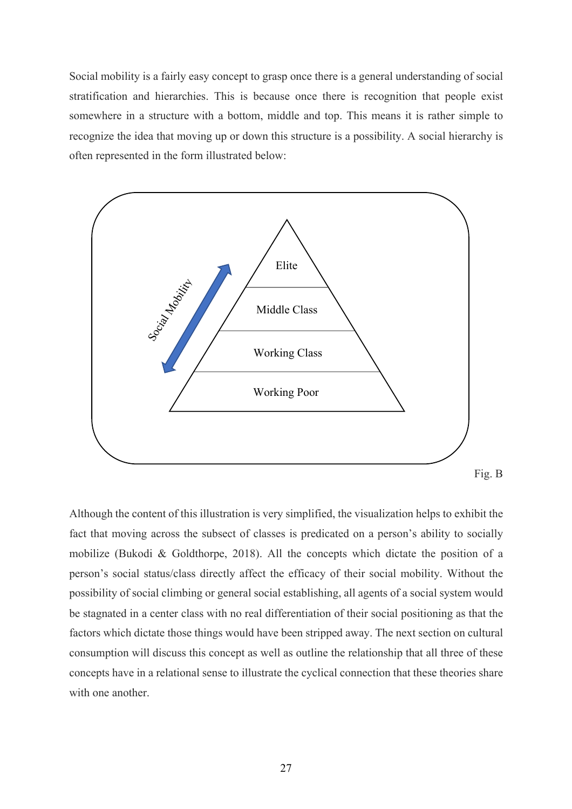Social mobility is a fairly easy concept to grasp once there is a general understanding of social stratification and hierarchies. This is because once there is recognition that people exist somewhere in a structure with a bottom, middle and top. This means it is rather simple to recognize the idea that moving up or down this structure is a possibility. A social hierarchy is often represented in the form illustrated below:



Although the content of this illustration is very simplified, the visualization helps to exhibit the fact that moving across the subsect of classes is predicated on a person's ability to socially mobilize (Bukodi & Goldthorpe, 2018). All the concepts which dictate the position of a person's social status/class directly affect the efficacy of their social mobility. Without the possibility of social climbing or general social establishing, all agents of a social system would be stagnated in a center class with no real differentiation of their social positioning as that the factors which dictate those things would have been stripped away. The next section on cultural consumption will discuss this concept as well as outline the relationship that all three of these concepts have in a relational sense to illustrate the cyclical connection that these theories share with one another.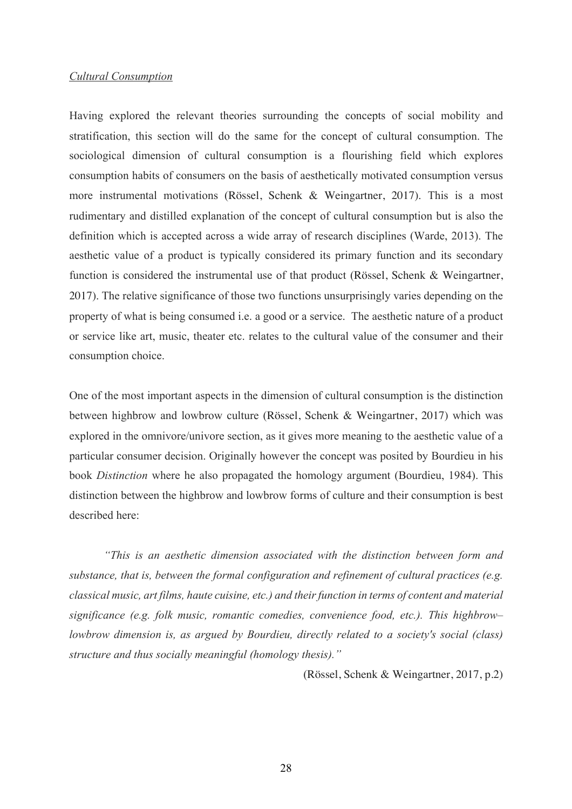## *Cultural Consumption*

Having explored the relevant theories surrounding the concepts of social mobility and stratification, this section will do the same for the concept of cultural consumption. The sociological dimension of cultural consumption is a flourishing field which explores consumption habits of consumers on the basis of aesthetically motivated consumption versus more instrumental motivations (Rössel, Schenk & Weingartner, 2017). This is a most rudimentary and distilled explanation of the concept of cultural consumption but is also the definition which is accepted across a wide array of research disciplines (Warde, 2013). The aesthetic value of a product is typically considered its primary function and its secondary function is considered the instrumental use of that product (Rössel, Schenk & Weingartner, 2017). The relative significance of those two functions unsurprisingly varies depending on the property of what is being consumed i.e. a good or a service. The aesthetic nature of a product or service like art, music, theater etc. relates to the cultural value of the consumer and their consumption choice.

One of the most important aspects in the dimension of cultural consumption is the distinction between highbrow and lowbrow culture (Rössel, Schenk & Weingartner, 2017) which was explored in the omnivore/univore section, as it gives more meaning to the aesthetic value of a particular consumer decision. Originally however the concept was posited by Bourdieu in his book *Distinction* where he also propagated the homology argument (Bourdieu, 1984). This distinction between the highbrow and lowbrow forms of culture and their consumption is best described here:

*"This is an aesthetic dimension associated with the distinction between form and substance, that is, between the formal configuration and refinement of cultural practices (e.g. classical music, art films, haute cuisine, etc.) and their function in terms of content and material significance (e.g. folk music, romantic comedies, convenience food, etc.). This highbrow– lowbrow dimension is, as argued by Bourdieu, directly related to a society's social (class) structure and thus socially meaningful (homology thesis)."*

(Rössel, Schenk & Weingartner, 2017, p.2)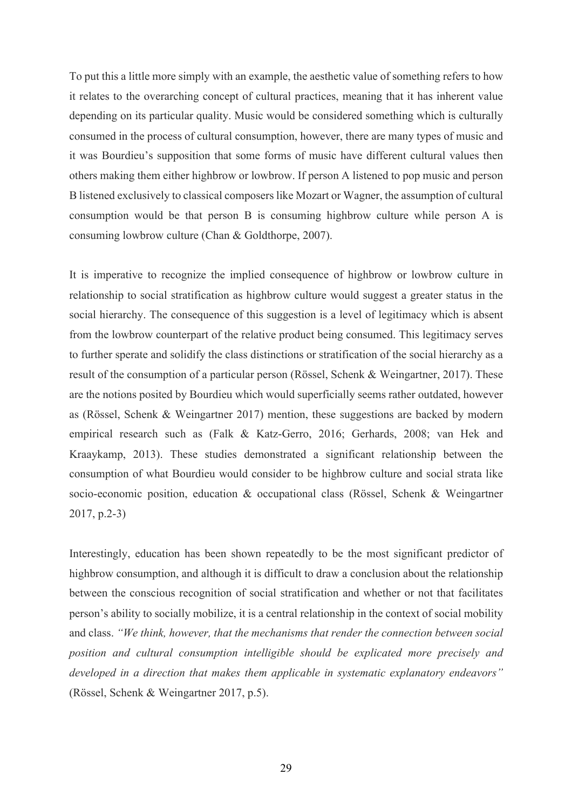To put this a little more simply with an example, the aesthetic value of something refers to how it relates to the overarching concept of cultural practices, meaning that it has inherent value depending on its particular quality. Music would be considered something which is culturally consumed in the process of cultural consumption, however, there are many types of music and it was Bourdieu's supposition that some forms of music have different cultural values then others making them either highbrow or lowbrow. If person A listened to pop music and person B listened exclusively to classical composers like Mozart or Wagner, the assumption of cultural consumption would be that person B is consuming highbrow culture while person A is consuming lowbrow culture (Chan & Goldthorpe, 2007).

It is imperative to recognize the implied consequence of highbrow or lowbrow culture in relationship to social stratification as highbrow culture would suggest a greater status in the social hierarchy. The consequence of this suggestion is a level of legitimacy which is absent from the lowbrow counterpart of the relative product being consumed. This legitimacy serves to further sperate and solidify the class distinctions or stratification of the social hierarchy as a result of the consumption of a particular person (Rössel, Schenk & Weingartner, 2017). These are the notions posited by Bourdieu which would superficially seems rather outdated, however as (Rössel, Schenk & Weingartner 2017) mention, these suggestions are backed by modern empirical research such as (Falk & Katz-Gerro, 2016; Gerhards, 2008; van Hek and Kraaykamp, 2013). These studies demonstrated a significant relationship between the consumption of what Bourdieu would consider to be highbrow culture and social strata like socio-economic position, education & occupational class (Rössel, Schenk & Weingartner 2017, p.2-3)

Interestingly, education has been shown repeatedly to be the most significant predictor of highbrow consumption, and although it is difficult to draw a conclusion about the relationship between the conscious recognition of social stratification and whether or not that facilitates person's ability to socially mobilize, it is a central relationship in the context of social mobility and class. *"We think, however, that the mechanisms that render the connection between social position and cultural consumption intelligible should be explicated more precisely and developed in a direction that makes them applicable in systematic explanatory endeavors"* (Rössel, Schenk & Weingartner 2017, p.5).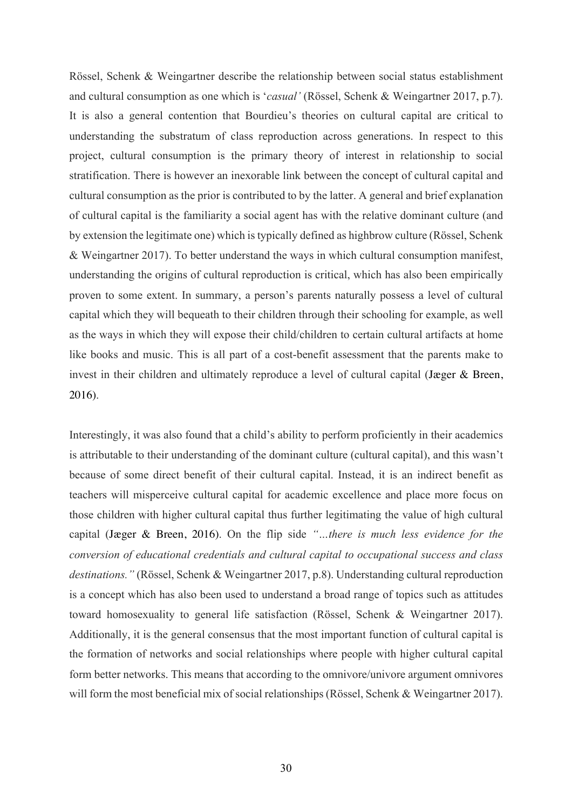Rössel, Schenk & Weingartner describe the relationship between social status establishment and cultural consumption as one which is '*casual'* (Rössel, Schenk & Weingartner 2017, p.7). It is also a general contention that Bourdieu's theories on cultural capital are critical to understanding the substratum of class reproduction across generations. In respect to this project, cultural consumption is the primary theory of interest in relationship to social stratification. There is however an inexorable link between the concept of cultural capital and cultural consumption as the prior is contributed to by the latter. A general and brief explanation of cultural capital is the familiarity a social agent has with the relative dominant culture (and by extension the legitimate one) which is typically defined as highbrow culture (Rössel, Schenk & Weingartner 2017). To better understand the ways in which cultural consumption manifest, understanding the origins of cultural reproduction is critical, which has also been empirically proven to some extent. In summary, a person's parents naturally possess a level of cultural capital which they will bequeath to their children through their schooling for example, as well as the ways in which they will expose their child/children to certain cultural artifacts at home like books and music. This is all part of a cost-benefit assessment that the parents make to invest in their children and ultimately reproduce a level of cultural capital (Jæger & Breen, 2016).

Interestingly, it was also found that a child's ability to perform proficiently in their academics is attributable to their understanding of the dominant culture (cultural capital), and this wasn't because of some direct benefit of their cultural capital. Instead, it is an indirect benefit as teachers will misperceive cultural capital for academic excellence and place more focus on those children with higher cultural capital thus further legitimating the value of high cultural capital (Jæger & Breen, 2016). On the flip side *"…there is much less evidence for the conversion of educational credentials and cultural capital to occupational success and class destinations."* (Rössel, Schenk & Weingartner 2017, p.8). Understanding cultural reproduction is a concept which has also been used to understand a broad range of topics such as attitudes toward homosexuality to general life satisfaction (Rössel, Schenk & Weingartner 2017). Additionally, it is the general consensus that the most important function of cultural capital is the formation of networks and social relationships where people with higher cultural capital form better networks. This means that according to the omnivore/univore argument omnivores will form the most beneficial mix of social relationships (Rössel, Schenk & Weingartner 2017).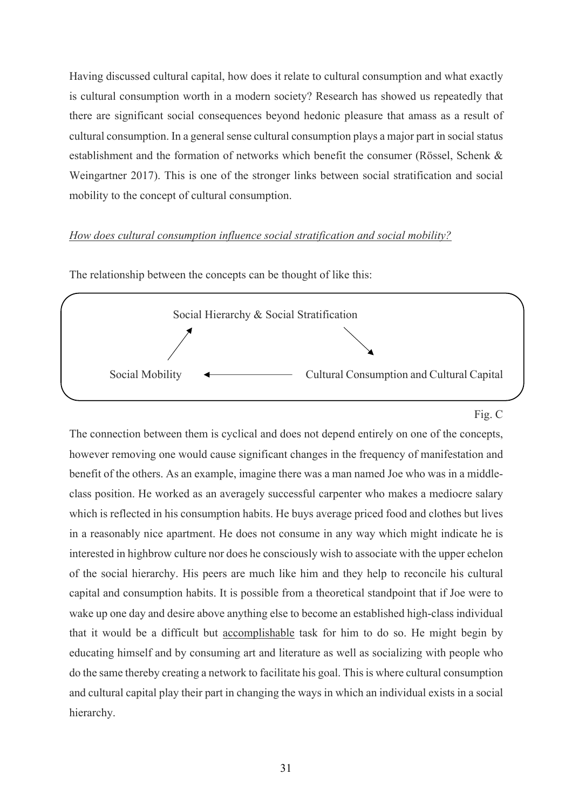Having discussed cultural capital, how does it relate to cultural consumption and what exactly is cultural consumption worth in a modern society? Research has showed us repeatedly that there are significant social consequences beyond hedonic pleasure that amass as a result of cultural consumption. In a general sense cultural consumption plays a major part in social status establishment and the formation of networks which benefit the consumer (Rössel, Schenk & Weingartner 2017). This is one of the stronger links between social stratification and social mobility to the concept of cultural consumption.

## *How does cultural consumption influence social stratification and social mobility?*



The relationship between the concepts can be thought of like this:

## Fig. C

The connection between them is cyclical and does not depend entirely on one of the concepts, however removing one would cause significant changes in the frequency of manifestation and benefit of the others. As an example, imagine there was a man named Joe who was in a middleclass position. He worked as an averagely successful carpenter who makes a mediocre salary which is reflected in his consumption habits. He buys average priced food and clothes but lives in a reasonably nice apartment. He does not consume in any way which might indicate he is interested in highbrow culture nor does he consciously wish to associate with the upper echelon of the social hierarchy. His peers are much like him and they help to reconcile his cultural capital and consumption habits. It is possible from a theoretical standpoint that if Joe were to wake up one day and desire above anything else to become an established high-class individual that it would be a difficult but accomplishable task for him to do so. He might begin by educating himself and by consuming art and literature as well as socializing with people who do the same thereby creating a network to facilitate his goal. This is where cultural consumption and cultural capital play their part in changing the ways in which an individual exists in a social hierarchy.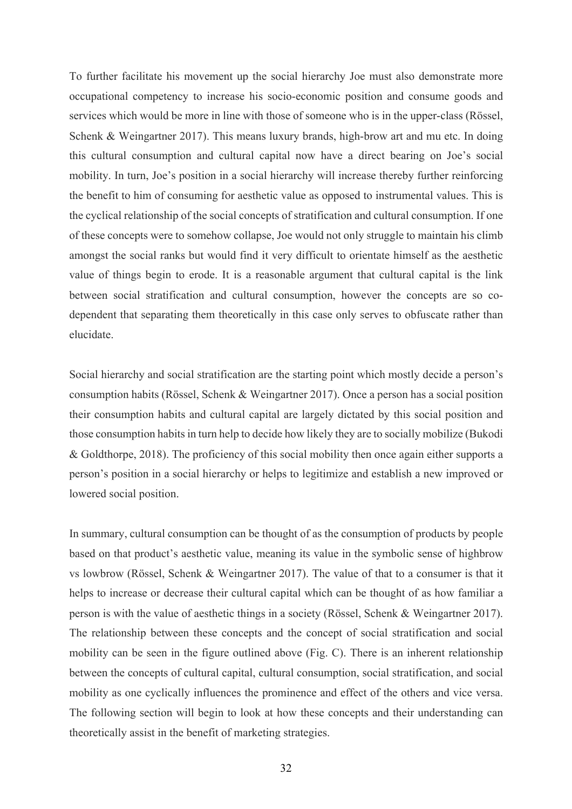To further facilitate his movement up the social hierarchy Joe must also demonstrate more occupational competency to increase his socio-economic position and consume goods and services which would be more in line with those of someone who is in the upper-class (Rössel, Schenk & Weingartner 2017). This means luxury brands, high-brow art and mu etc. In doing this cultural consumption and cultural capital now have a direct bearing on Joe's social mobility. In turn, Joe's position in a social hierarchy will increase thereby further reinforcing the benefit to him of consuming for aesthetic value as opposed to instrumental values. This is the cyclical relationship of the social concepts of stratification and cultural consumption. If one of these concepts were to somehow collapse, Joe would not only struggle to maintain his climb amongst the social ranks but would find it very difficult to orientate himself as the aesthetic value of things begin to erode. It is a reasonable argument that cultural capital is the link between social stratification and cultural consumption, however the concepts are so codependent that separating them theoretically in this case only serves to obfuscate rather than elucidate.

Social hierarchy and social stratification are the starting point which mostly decide a person's consumption habits (Rössel, Schenk & Weingartner 2017). Once a person has a social position their consumption habits and cultural capital are largely dictated by this social position and those consumption habits in turn help to decide how likely they are to socially mobilize (Bukodi & Goldthorpe, 2018). The proficiency of this social mobility then once again either supports a person's position in a social hierarchy or helps to legitimize and establish a new improved or lowered social position.

In summary, cultural consumption can be thought of as the consumption of products by people based on that product's aesthetic value, meaning its value in the symbolic sense of highbrow vs lowbrow (Rössel, Schenk & Weingartner 2017). The value of that to a consumer is that it helps to increase or decrease their cultural capital which can be thought of as how familiar a person is with the value of aesthetic things in a society (Rössel, Schenk & Weingartner 2017). The relationship between these concepts and the concept of social stratification and social mobility can be seen in the figure outlined above (Fig. C). There is an inherent relationship between the concepts of cultural capital, cultural consumption, social stratification, and social mobility as one cyclically influences the prominence and effect of the others and vice versa. The following section will begin to look at how these concepts and their understanding can theoretically assist in the benefit of marketing strategies.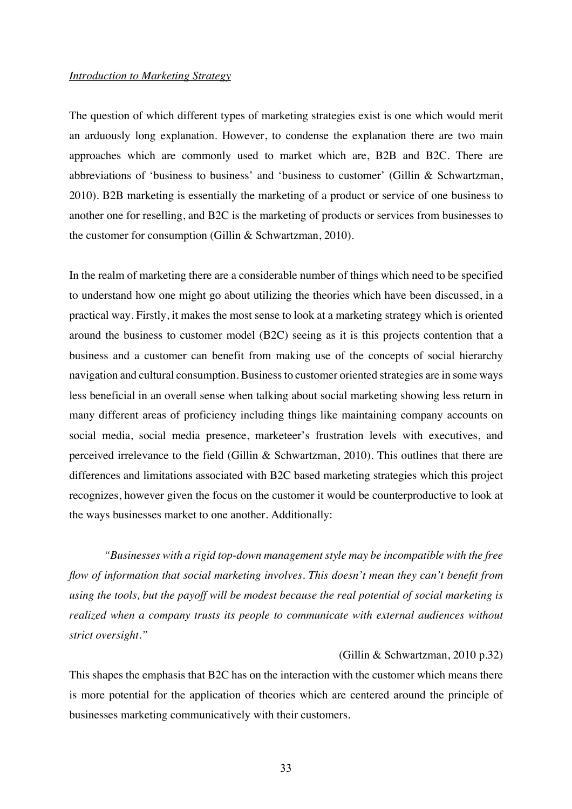## *Introduction to Marketing Strategy*

The question of which different types of marketing strategies exist is one which would merit an arduously long explanation. However, to condense the explanation there are two main approaches which are commonly used to market which are, B2B and B2C. There are abbreviations of 'business to business' and 'business to customer' (Gillin & Schwartzman, 2010). B2B marketing is essentially the marketing of a product or service of one business to another one for reselling, and B2C is the marketing of products or services from businesses to the customer for consumption (Gillin & Schwartzman, 2010).

In the realm of marketing there are a considerable number of things which need to be specified to understand how one might go about utilizing the theories which have been discussed, in a practical way. Firstly, it makes the most sense to look at a marketing strategy which is oriented around the business to customer model (B2C) seeing as it is this projects contention that a business and a customer can benefit from making use of the concepts of social hierarchy navigation and cultural consumption. Business to customer oriented strategies are in some ways less beneficial in an overall sense when talking about social marketing showing less return in many different areas of proficiency including things like maintaining company accounts on social media, social media presence, marketeer's frustration levels with executives, and perceived irrelevance to the field (Gillin & Schwartzman, 2010). This outlines that there are differences and limitations associated with B2C based marketing strategies which this project recognizes, however given the focus on the customer it would be counterproductive to look at the ways businesses market to one another. Additionally:

*"Businesses with a rigid top-down management style may be incompatible with the free flow of information that social marketing involves. This doesn't mean they can't benefit from using the tools, but the payoff will be modest because the real potential of social marketing is realized when a company trusts its people to communicate with external audiences without strict oversight."*

#### (Gillin & Schwartzman, 2010 p.32)

This shapes the emphasis that B2C has on the interaction with the customer which means there is more potential for the application of theories which are centered around the principle of businesses marketing communicatively with their customers.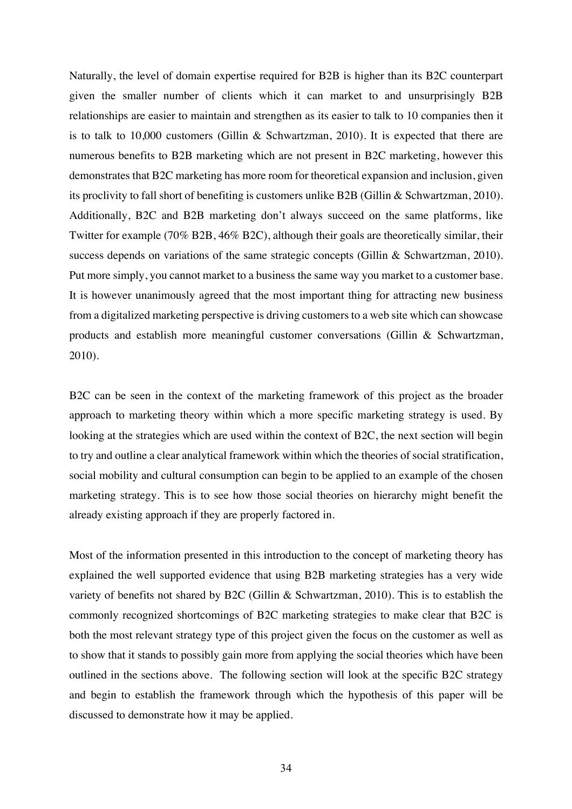Naturally, the level of domain expertise required for B2B is higher than its B2C counterpart given the smaller number of clients which it can market to and unsurprisingly B2B relationships are easier to maintain and strengthen as its easier to talk to 10 companies then it is to talk to 10,000 customers (Gillin & Schwartzman, 2010). It is expected that there are numerous benefits to B2B marketing which are not present in B2C marketing, however this demonstrates that B2C marketing has more room for theoretical expansion and inclusion, given its proclivity to fall short of benefiting is customers unlike B2B (Gillin & Schwartzman, 2010). Additionally, B2C and B2B marketing don't always succeed on the same platforms, like Twitter for example (70% B2B, 46% B2C), although their goals are theoretically similar, their success depends on variations of the same strategic concepts (Gillin & Schwartzman, 2010). Put more simply, you cannot market to a business the same way you market to a customer base. It is however unanimously agreed that the most important thing for attracting new business from a digitalized marketing perspective is driving customers to a web site which can showcase products and establish more meaningful customer conversations (Gillin & Schwartzman, 2010).

B2C can be seen in the context of the marketing framework of this project as the broader approach to marketing theory within which a more specific marketing strategy is used. By looking at the strategies which are used within the context of B2C, the next section will begin to try and outline a clear analytical framework within which the theories of social stratification, social mobility and cultural consumption can begin to be applied to an example of the chosen marketing strategy. This is to see how those social theories on hierarchy might benefit the already existing approach if they are properly factored in.

Most of the information presented in this introduction to the concept of marketing theory has explained the well supported evidence that using B2B marketing strategies has a very wide variety of benefits not shared by B2C (Gillin & Schwartzman, 2010). This is to establish the commonly recognized shortcomings of B2C marketing strategies to make clear that B2C is both the most relevant strategy type of this project given the focus on the customer as well as to show that it stands to possibly gain more from applying the social theories which have been outlined in the sections above. The following section will look at the specific B2C strategy and begin to establish the framework through which the hypothesis of this paper will be discussed to demonstrate how it may be applied.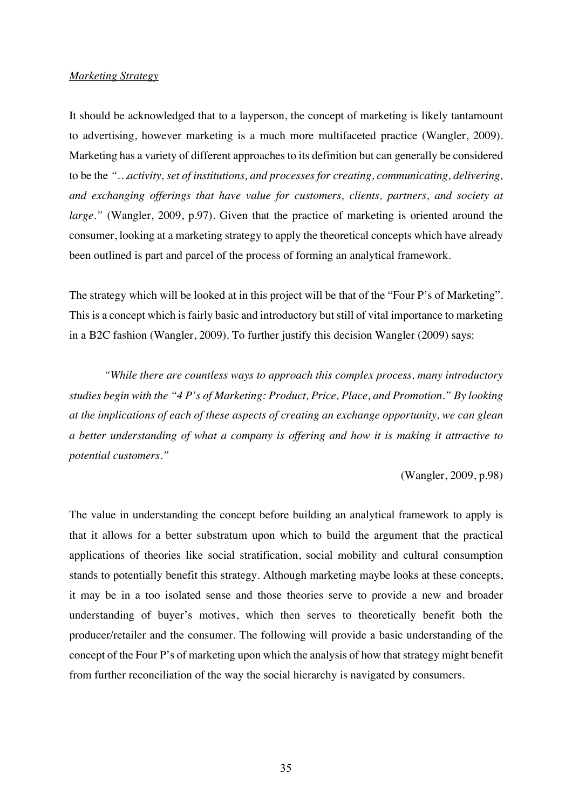## *Marketing Strategy*

It should be acknowledged that to a layperson, the concept of marketing is likely tantamount to advertising, however marketing is a much more multifaceted practice (Wangler, 2009). Marketing has a variety of different approaches to its definition but can generally be considered to be the *"…activity, set of institutions, and processes for creating, communicating, delivering, and exchanging offerings that have value for customers, clients, partners, and society at large."* (Wangler, 2009, p.97). Given that the practice of marketing is oriented around the consumer, looking at a marketing strategy to apply the theoretical concepts which have already been outlined is part and parcel of the process of forming an analytical framework.

The strategy which will be looked at in this project will be that of the "Four P's of Marketing". This is a concept which is fairly basic and introductory but still of vital importance to marketing in a B2C fashion (Wangler, 2009). To further justify this decision Wangler (2009) says:

*"While there are countless ways to approach this complex process, many introductory studies begin with the "4 P's of Marketing: Product, Price, Place, and Promotion." By looking at the implications of each of these aspects of creating an exchange opportunity, we can glean a better understanding of what a company is offering and how it is making it attractive to potential customers."*

(Wangler, 2009, p.98)

The value in understanding the concept before building an analytical framework to apply is that it allows for a better substratum upon which to build the argument that the practical applications of theories like social stratification, social mobility and cultural consumption stands to potentially benefit this strategy. Although marketing maybe looks at these concepts, it may be in a too isolated sense and those theories serve to provide a new and broader understanding of buyer's motives, which then serves to theoretically benefit both the producer/retailer and the consumer. The following will provide a basic understanding of the concept of the Four P's of marketing upon which the analysis of how that strategy might benefit from further reconciliation of the way the social hierarchy is navigated by consumers.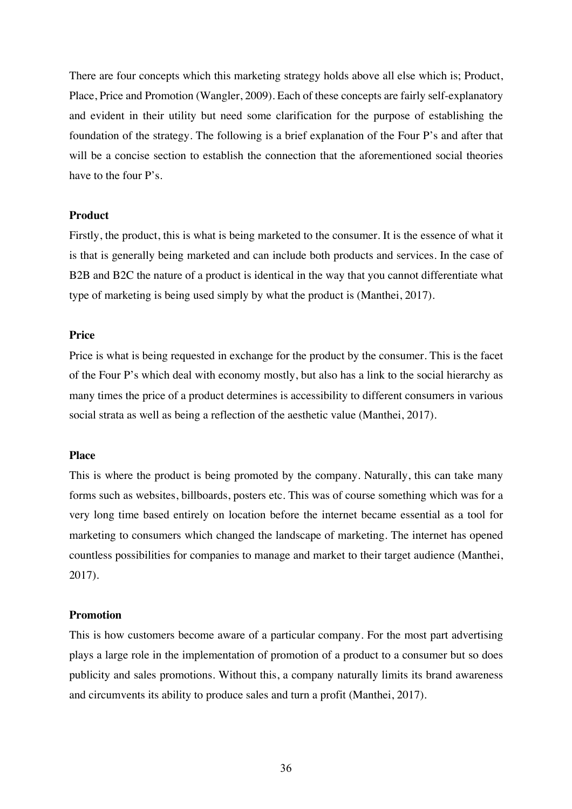There are four concepts which this marketing strategy holds above all else which is; Product, Place, Price and Promotion (Wangler, 2009). Each of these concepts are fairly self-explanatory and evident in their utility but need some clarification for the purpose of establishing the foundation of the strategy. The following is a brief explanation of the Four P's and after that will be a concise section to establish the connection that the aforementioned social theories have to the four P's.

## **Product**

Firstly, the product, this is what is being marketed to the consumer. It is the essence of what it is that is generally being marketed and can include both products and services. In the case of B2B and B2C the nature of a product is identical in the way that you cannot differentiate what type of marketing is being used simply by what the product is (Manthei, 2017).

## **Price**

Price is what is being requested in exchange for the product by the consumer. This is the facet of the Four P's which deal with economy mostly, but also has a link to the social hierarchy as many times the price of a product determines is accessibility to different consumers in various social strata as well as being a reflection of the aesthetic value (Manthei, 2017).

#### **Place**

This is where the product is being promoted by the company. Naturally, this can take many forms such as websites, billboards, posters etc. This was of course something which was for a very long time based entirely on location before the internet became essential as a tool for marketing to consumers which changed the landscape of marketing. The internet has opened countless possibilities for companies to manage and market to their target audience (Manthei, 2017).

#### **Promotion**

This is how customers become aware of a particular company. For the most part advertising plays a large role in the implementation of promotion of a product to a consumer but so does publicity and sales promotions. Without this, a company naturally limits its brand awareness and circumvents its ability to produce sales and turn a profit (Manthei, 2017).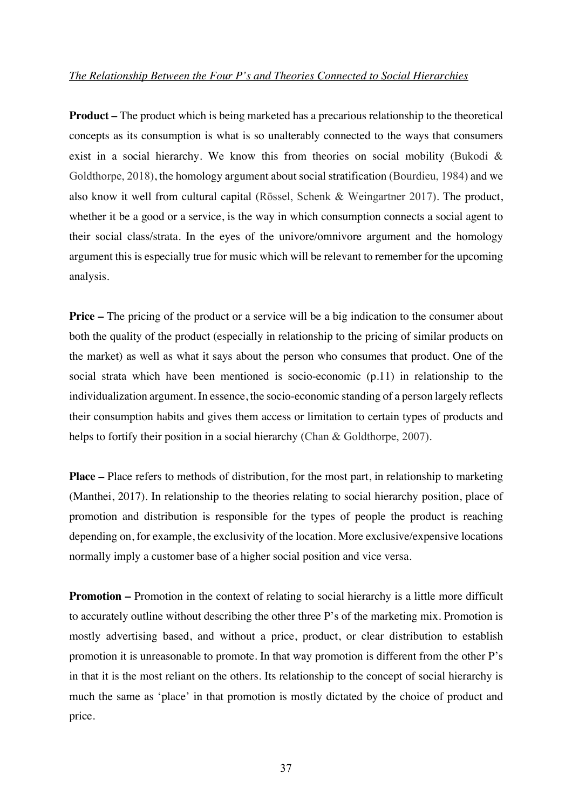#### *The Relationship Between the Four P's and Theories Connected to Social Hierarchies*

**Product –** The product which is being marketed has a precarious relationship to the theoretical concepts as its consumption is what is so unalterably connected to the ways that consumers exist in a social hierarchy. We know this from theories on social mobility (Bukodi & Goldthorpe, 2018), the homology argument about social stratification (Bourdieu, 1984) and we also know it well from cultural capital (Rössel, Schenk & Weingartner 2017). The product, whether it be a good or a service, is the way in which consumption connects a social agent to their social class/strata. In the eyes of the univore/omnivore argument and the homology argument this is especially true for music which will be relevant to remember for the upcoming analysis.

**Price** – The pricing of the product or a service will be a big indication to the consumer about both the quality of the product (especially in relationship to the pricing of similar products on the market) as well as what it says about the person who consumes that product. One of the social strata which have been mentioned is socio-economic (p.11) in relationship to the individualization argument. In essence, the socio-economic standing of a person largely reflects their consumption habits and gives them access or limitation to certain types of products and helps to fortify their position in a social hierarchy (Chan & Goldthorpe, 2007).

**Place** – Place refers to methods of distribution, for the most part, in relationship to marketing (Manthei, 2017). In relationship to the theories relating to social hierarchy position, place of promotion and distribution is responsible for the types of people the product is reaching depending on, for example, the exclusivity of the location. More exclusive/expensive locations normally imply a customer base of a higher social position and vice versa.

**Promotion –** Promotion in the context of relating to social hierarchy is a little more difficult to accurately outline without describing the other three P's of the marketing mix. Promotion is mostly advertising based, and without a price, product, or clear distribution to establish promotion it is unreasonable to promote. In that way promotion is different from the other P's in that it is the most reliant on the others. Its relationship to the concept of social hierarchy is much the same as 'place' in that promotion is mostly dictated by the choice of product and price.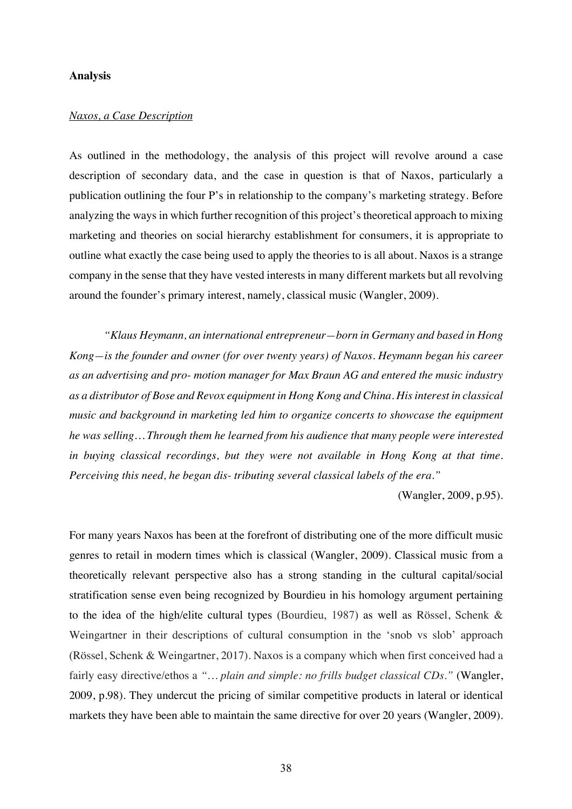#### **Analysis**

## *Naxos, a Case Description*

As outlined in the methodology, the analysis of this project will revolve around a case description of secondary data, and the case in question is that of Naxos, particularly a publication outlining the four P's in relationship to the company's marketing strategy. Before analyzing the ways in which further recognition of this project's theoretical approach to mixing marketing and theories on social hierarchy establishment for consumers, it is appropriate to outline what exactly the case being used to apply the theories to is all about. Naxos is a strange company in the sense that they have vested interests in many different markets but all revolving around the founder's primary interest, namely, classical music (Wangler, 2009).

*"Klaus Heymann, an international entrepreneur—born in Germany and based in Hong Kong—is the founder and owner (for over twenty years) of Naxos. Heymann began his career as an advertising and pro- motion manager for Max Braun AG and entered the music industry as a distributor of Bose and Revox equipment in Hong Kong and China. His interest in classical music and background in marketing led him to organize concerts to showcase the equipment he was selling… Through them he learned from his audience that many people were interested in buying classical recordings, but they were not available in Hong Kong at that time. Perceiving this need, he began dis- tributing several classical labels of the era."*

(Wangler, 2009, p.95).

For many years Naxos has been at the forefront of distributing one of the more difficult music genres to retail in modern times which is classical (Wangler, 2009). Classical music from a theoretically relevant perspective also has a strong standing in the cultural capital/social stratification sense even being recognized by Bourdieu in his homology argument pertaining to the idea of the high/elite cultural types (Bourdieu, 1987) as well as Rössel, Schenk & Weingartner in their descriptions of cultural consumption in the 'snob vs slob' approach (Rössel, Schenk & Weingartner, 2017). Naxos is a company which when first conceived had a fairly easy directive/ethos a *"… plain and simple: no frills budget classical CDs."* (Wangler, 2009, p.98). They undercut the pricing of similar competitive products in lateral or identical markets they have been able to maintain the same directive for over 20 years (Wangler, 2009).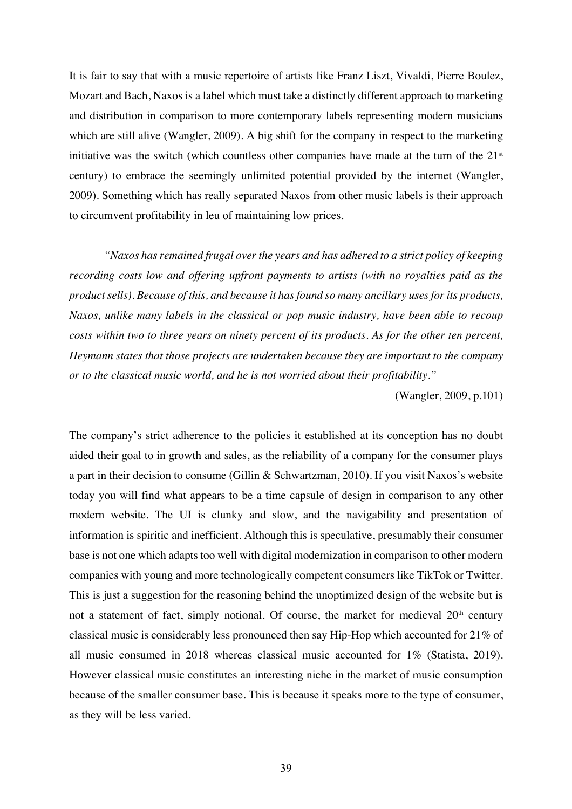It is fair to say that with a music repertoire of artists like Franz Liszt, Vivaldi, Pierre Boulez, Mozart and Bach, Naxos is a label which must take a distinctly different approach to marketing and distribution in comparison to more contemporary labels representing modern musicians which are still alive (Wangler, 2009). A big shift for the company in respect to the marketing initiative was the switch (which countless other companies have made at the turn of the  $21<sup>st</sup>$ century) to embrace the seemingly unlimited potential provided by the internet (Wangler, 2009). Something which has really separated Naxos from other music labels is their approach to circumvent profitability in leu of maintaining low prices.

*"Naxos has remained frugal over the years and has adhered to a strict policy of keeping recording costs low and offering upfront payments to artists (with no royalties paid as the product sells). Because of this, and because it has found so many ancillary uses for its products, Naxos, unlike many labels in the classical or pop music industry, have been able to recoup costs within two to three years on ninety percent of its products. As for the other ten percent, Heymann states that those projects are undertaken because they are important to the company or to the classical music world, and he is not worried about their profitability."*

(Wangler, 2009, p.101)

The company's strict adherence to the policies it established at its conception has no doubt aided their goal to in growth and sales, as the reliability of a company for the consumer plays a part in their decision to consume (Gillin & Schwartzman, 2010). If you visit Naxos's website today you will find what appears to be a time capsule of design in comparison to any other modern website. The UI is clunky and slow, and the navigability and presentation of information is spiritic and inefficient. Although this is speculative, presumably their consumer base is not one which adapts too well with digital modernization in comparison to other modern companies with young and more technologically competent consumers like TikTok or Twitter. This is just a suggestion for the reasoning behind the unoptimized design of the website but is not a statement of fact, simply notional. Of course, the market for medieval  $20<sup>th</sup>$  century classical music is considerably less pronounced then say Hip-Hop which accounted for 21% of all music consumed in 2018 whereas classical music accounted for 1% (Statista, 2019). However classical music constitutes an interesting niche in the market of music consumption because of the smaller consumer base. This is because it speaks more to the type of consumer, as they will be less varied.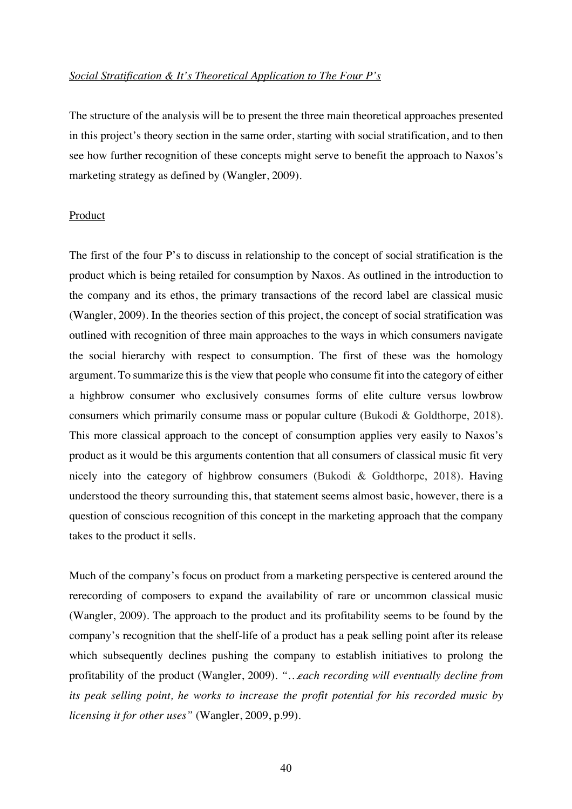The structure of the analysis will be to present the three main theoretical approaches presented in this project's theory section in the same order, starting with social stratification, and to then see how further recognition of these concepts might serve to benefit the approach to Naxos's marketing strategy as defined by (Wangler, 2009).

#### Product

The first of the four P's to discuss in relationship to the concept of social stratification is the product which is being retailed for consumption by Naxos. As outlined in the introduction to the company and its ethos, the primary transactions of the record label are classical music (Wangler, 2009). In the theories section of this project, the concept of social stratification was outlined with recognition of three main approaches to the ways in which consumers navigate the social hierarchy with respect to consumption. The first of these was the homology argument. To summarize this is the view that people who consume fit into the category of either a highbrow consumer who exclusively consumes forms of elite culture versus lowbrow consumers which primarily consume mass or popular culture (Bukodi & Goldthorpe, 2018). This more classical approach to the concept of consumption applies very easily to Naxos's product as it would be this arguments contention that all consumers of classical music fit very nicely into the category of highbrow consumers (Bukodi & Goldthorpe, 2018). Having understood the theory surrounding this, that statement seems almost basic, however, there is a question of conscious recognition of this concept in the marketing approach that the company takes to the product it sells.

Much of the company's focus on product from a marketing perspective is centered around the rerecording of composers to expand the availability of rare or uncommon classical music (Wangler, 2009). The approach to the product and its profitability seems to be found by the company's recognition that the shelf-life of a product has a peak selling point after its release which subsequently declines pushing the company to establish initiatives to prolong the profitability of the product (Wangler, 2009). *"…each recording will eventually decline from its peak selling point, he works to increase the profit potential for his recorded music by licensing it for other uses"* (Wangler, 2009, p.99).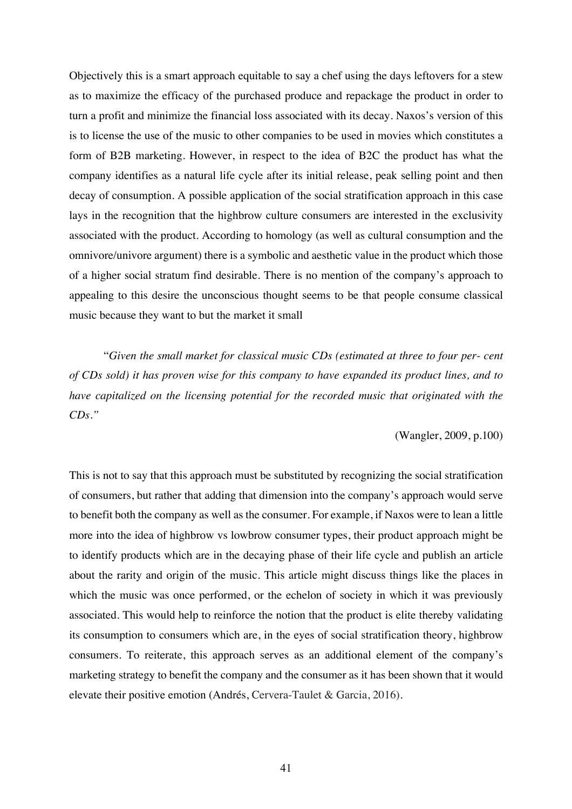Objectively this is a smart approach equitable to say a chef using the days leftovers for a stew as to maximize the efficacy of the purchased produce and repackage the product in order to turn a profit and minimize the financial loss associated with its decay. Naxos's version of this is to license the use of the music to other companies to be used in movies which constitutes a form of B2B marketing. However, in respect to the idea of B2C the product has what the company identifies as a natural life cycle after its initial release, peak selling point and then decay of consumption. A possible application of the social stratification approach in this case lays in the recognition that the highbrow culture consumers are interested in the exclusivity associated with the product. According to homology (as well as cultural consumption and the omnivore/univore argument) there is a symbolic and aesthetic value in the product which those of a higher social stratum find desirable. There is no mention of the company's approach to appealing to this desire the unconscious thought seems to be that people consume classical music because they want to but the market it small

"*Given the small market for classical music CDs (estimated at three to four per- cent of CDs sold) it has proven wise for this company to have expanded its product lines, and to have capitalized on the licensing potential for the recorded music that originated with the CDs."*

(Wangler, 2009, p.100)

This is not to say that this approach must be substituted by recognizing the social stratification of consumers, but rather that adding that dimension into the company's approach would serve to benefit both the company as well as the consumer. For example, if Naxos were to lean a little more into the idea of highbrow vs lowbrow consumer types, their product approach might be to identify products which are in the decaying phase of their life cycle and publish an article about the rarity and origin of the music. This article might discuss things like the places in which the music was once performed, or the echelon of society in which it was previously associated. This would help to reinforce the notion that the product is elite thereby validating its consumption to consumers which are, in the eyes of social stratification theory, highbrow consumers. To reiterate, this approach serves as an additional element of the company's marketing strategy to benefit the company and the consumer as it has been shown that it would elevate their positive emotion (Andrés, Cervera-Taulet & Garcia, 2016).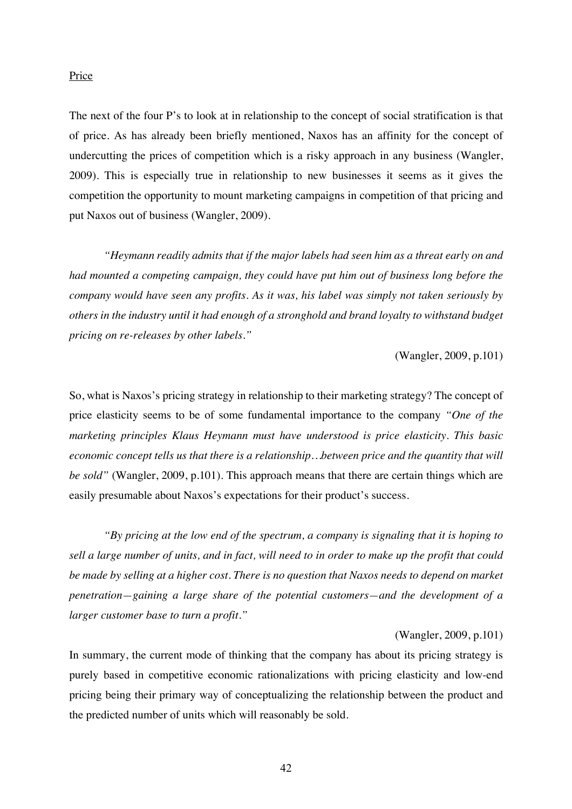#### Price

The next of the four P's to look at in relationship to the concept of social stratification is that of price. As has already been briefly mentioned, Naxos has an affinity for the concept of undercutting the prices of competition which is a risky approach in any business (Wangler, 2009). This is especially true in relationship to new businesses it seems as it gives the competition the opportunity to mount marketing campaigns in competition of that pricing and put Naxos out of business (Wangler, 2009).

*"Heymann readily admits that if the major labels had seen him as a threat early on and had mounted a competing campaign, they could have put him out of business long before the company would have seen any profits. As it was, his label was simply not taken seriously by others in the industry until it had enough of a stronghold and brand loyalty to withstand budget pricing on re-releases by other labels."*

(Wangler, 2009, p.101)

So, what is Naxos's pricing strategy in relationship to their marketing strategy? The concept of price elasticity seems to be of some fundamental importance to the company *"One of the marketing principles Klaus Heymann must have understood is price elasticity. This basic economic concept tells us that there is a relationship…between price and the quantity that will be sold"* (Wangler, 2009, p.101). This approach means that there are certain things which are easily presumable about Naxos's expectations for their product's success.

*"By pricing at the low end of the spectrum, a company is signaling that it is hoping to sell a large number of units, and in fact, will need to in order to make up the profit that could be made by selling at a higher cost. There is no question that Naxos needs to depend on market penetration—gaining a large share of the potential customers—and the development of a larger customer base to turn a profit."*

(Wangler, 2009, p.101)

In summary, the current mode of thinking that the company has about its pricing strategy is purely based in competitive economic rationalizations with pricing elasticity and low-end pricing being their primary way of conceptualizing the relationship between the product and the predicted number of units which will reasonably be sold.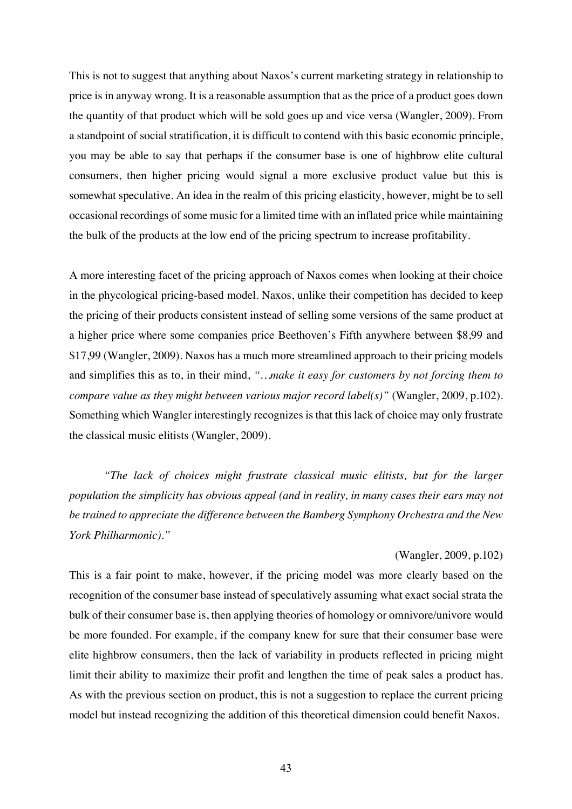This is not to suggest that anything about Naxos's current marketing strategy in relationship to price is in anyway wrong. It is a reasonable assumption that as the price of a product goes down the quantity of that product which will be sold goes up and vice versa (Wangler, 2009). From a standpoint of social stratification, it is difficult to contend with this basic economic principle, you may be able to say that perhaps if the consumer base is one of highbrow elite cultural consumers, then higher pricing would signal a more exclusive product value but this is somewhat speculative. An idea in the realm of this pricing elasticity, however, might be to sell occasional recordings of some music for a limited time with an inflated price while maintaining the bulk of the products at the low end of the pricing spectrum to increase profitability.

A more interesting facet of the pricing approach of Naxos comes when looking at their choice in the phycological pricing-based model. Naxos, unlike their competition has decided to keep the pricing of their products consistent instead of selling some versions of the same product at a higher price where some companies price Beethoven's Fifth anywhere between \$8,99 and \$17,99 (Wangler, 2009). Naxos has a much more streamlined approach to their pricing models and simplifies this as to, in their mind, *"…make it easy for customers by not forcing them to compare value as they might between various major record label(s)"* (Wangler, 2009, p.102). Something which Wangler interestingly recognizes is that this lack of choice may only frustrate the classical music elitists (Wangler, 2009).

*"The lack of choices might frustrate classical music elitists, but for the larger population the simplicity has obvious appeal (and in reality, in many cases their ears may not be trained to appreciate the difference between the Bamberg Symphony Orchestra and the New York Philharmonic)."*

#### (Wangler, 2009, p.102)

This is a fair point to make, however, if the pricing model was more clearly based on the recognition of the consumer base instead of speculatively assuming what exact social strata the bulk of their consumer base is, then applying theories of homology or omnivore/univore would be more founded. For example, if the company knew for sure that their consumer base were elite highbrow consumers, then the lack of variability in products reflected in pricing might limit their ability to maximize their profit and lengthen the time of peak sales a product has. As with the previous section on product, this is not a suggestion to replace the current pricing model but instead recognizing the addition of this theoretical dimension could benefit Naxos.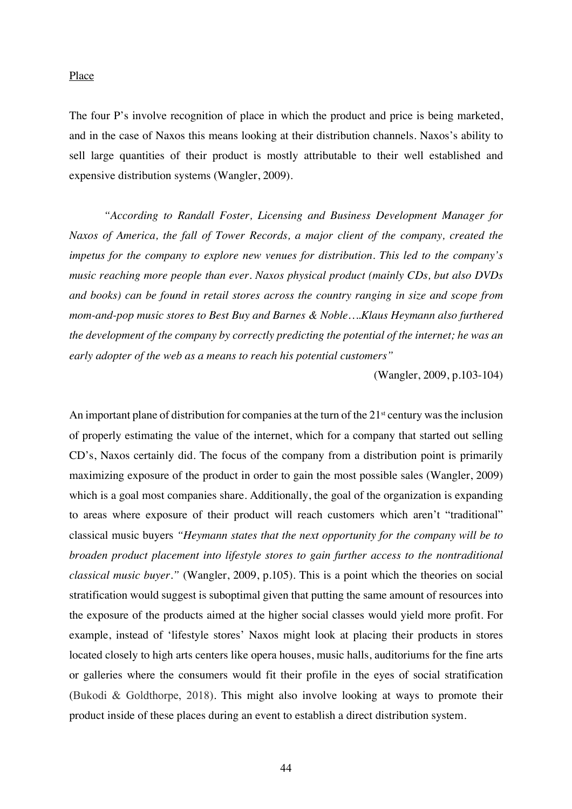#### Place

The four P's involve recognition of place in which the product and price is being marketed, and in the case of Naxos this means looking at their distribution channels. Naxos's ability to sell large quantities of their product is mostly attributable to their well established and expensive distribution systems (Wangler, 2009).

*"According to Randall Foster, Licensing and Business Development Manager for Naxos of America, the fall of Tower Records, a major client of the company, created the impetus for the company to explore new venues for distribution. This led to the company's music reaching more people than ever. Naxos physical product (mainly CDs, but also DVDs and books) can be found in retail stores across the country ranging in size and scope from mom-and-pop music stores to Best Buy and Barnes & Noble….Klaus Heymann also furthered the development of the company by correctly predicting the potential of the internet; he was an early adopter of the web as a means to reach his potential customers"*

(Wangler, 2009, p.103-104)

An important plane of distribution for companies at the turn of the  $21<sup>st</sup>$  century was the inclusion of properly estimating the value of the internet, which for a company that started out selling CD's, Naxos certainly did. The focus of the company from a distribution point is primarily maximizing exposure of the product in order to gain the most possible sales (Wangler, 2009) which is a goal most companies share. Additionally, the goal of the organization is expanding to areas where exposure of their product will reach customers which aren't "traditional" classical music buyers *"Heymann states that the next opportunity for the company will be to broaden product placement into lifestyle stores to gain further access to the nontraditional classical music buyer."* (Wangler, 2009, p.105). This is a point which the theories on social stratification would suggest is suboptimal given that putting the same amount of resources into the exposure of the products aimed at the higher social classes would yield more profit. For example, instead of 'lifestyle stores' Naxos might look at placing their products in stores located closely to high arts centers like opera houses, music halls, auditoriums for the fine arts or galleries where the consumers would fit their profile in the eyes of social stratification (Bukodi & Goldthorpe, 2018). This might also involve looking at ways to promote their product inside of these places during an event to establish a direct distribution system.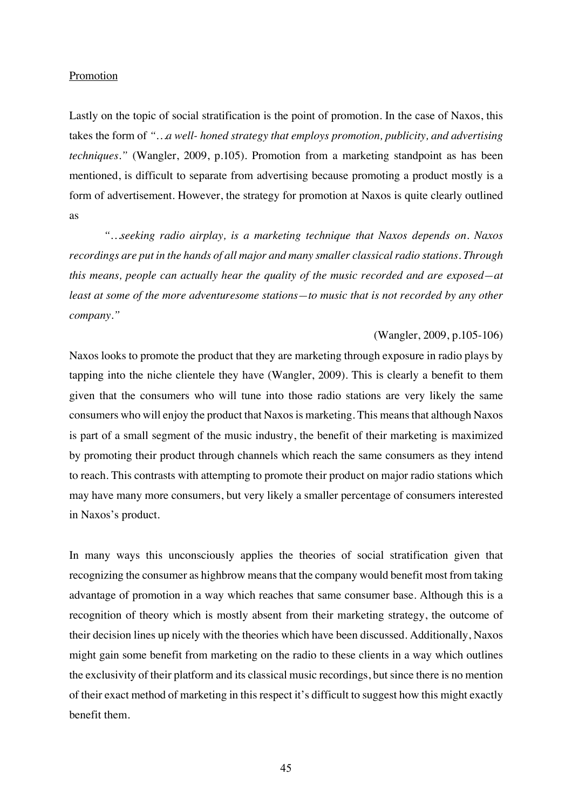## Promotion

Lastly on the topic of social stratification is the point of promotion. In the case of Naxos, this takes the form of *"…a well- honed strategy that employs promotion, publicity, and advertising techniques."* (Wangler, 2009, p.105). Promotion from a marketing standpoint as has been mentioned, is difficult to separate from advertising because promoting a product mostly is a form of advertisement. However, the strategy for promotion at Naxos is quite clearly outlined as

*"…seeking radio airplay, is a marketing technique that Naxos depends on. Naxos recordings are put in the hands of all major and many smaller classical radio stations. Through this means, people can actually hear the quality of the music recorded and are exposed—at least at some of the more adventuresome stations—to music that is not recorded by any other company."*

## (Wangler, 2009, p.105-106)

Naxos looks to promote the product that they are marketing through exposure in radio plays by tapping into the niche clientele they have (Wangler, 2009). This is clearly a benefit to them given that the consumers who will tune into those radio stations are very likely the same consumers who will enjoy the product that Naxos is marketing. This means that although Naxos is part of a small segment of the music industry, the benefit of their marketing is maximized by promoting their product through channels which reach the same consumers as they intend to reach. This contrasts with attempting to promote their product on major radio stations which may have many more consumers, but very likely a smaller percentage of consumers interested in Naxos's product.

In many ways this unconsciously applies the theories of social stratification given that recognizing the consumer as highbrow means that the company would benefit most from taking advantage of promotion in a way which reaches that same consumer base. Although this is a recognition of theory which is mostly absent from their marketing strategy, the outcome of their decision lines up nicely with the theories which have been discussed. Additionally, Naxos might gain some benefit from marketing on the radio to these clients in a way which outlines the exclusivity of their platform and its classical music recordings, but since there is no mention of their exact method of marketing in this respect it's difficult to suggest how this might exactly benefit them.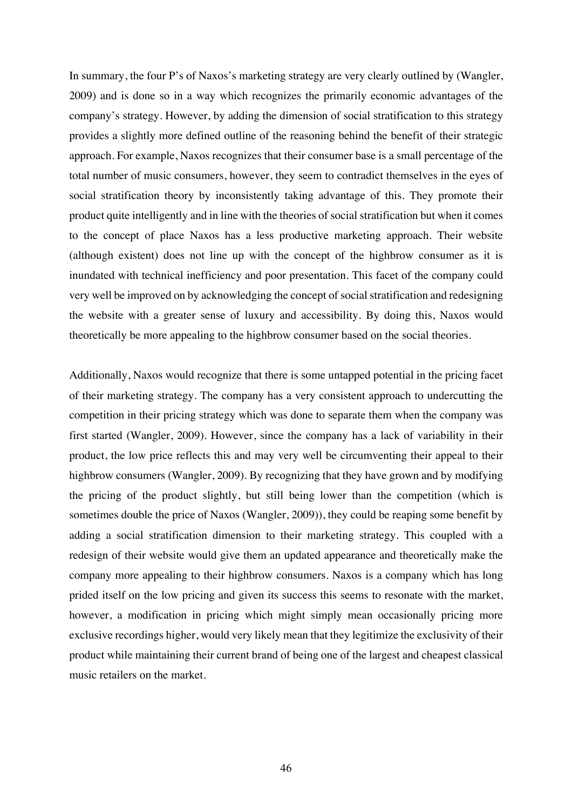In summary, the four P's of Naxos's marketing strategy are very clearly outlined by (Wangler, 2009) and is done so in a way which recognizes the primarily economic advantages of the company's strategy. However, by adding the dimension of social stratification to this strategy provides a slightly more defined outline of the reasoning behind the benefit of their strategic approach. For example, Naxos recognizes that their consumer base is a small percentage of the total number of music consumers, however, they seem to contradict themselves in the eyes of social stratification theory by inconsistently taking advantage of this. They promote their product quite intelligently and in line with the theories of social stratification but when it comes to the concept of place Naxos has a less productive marketing approach. Their website (although existent) does not line up with the concept of the highbrow consumer as it is inundated with technical inefficiency and poor presentation. This facet of the company could very well be improved on by acknowledging the concept of social stratification and redesigning the website with a greater sense of luxury and accessibility. By doing this, Naxos would theoretically be more appealing to the highbrow consumer based on the social theories.

Additionally, Naxos would recognize that there is some untapped potential in the pricing facet of their marketing strategy. The company has a very consistent approach to undercutting the competition in their pricing strategy which was done to separate them when the company was first started (Wangler, 2009). However, since the company has a lack of variability in their product, the low price reflects this and may very well be circumventing their appeal to their highbrow consumers (Wangler, 2009). By recognizing that they have grown and by modifying the pricing of the product slightly, but still being lower than the competition (which is sometimes double the price of Naxos (Wangler, 2009)), they could be reaping some benefit by adding a social stratification dimension to their marketing strategy. This coupled with a redesign of their website would give them an updated appearance and theoretically make the company more appealing to their highbrow consumers. Naxos is a company which has long prided itself on the low pricing and given its success this seems to resonate with the market, however, a modification in pricing which might simply mean occasionally pricing more exclusive recordings higher, would very likely mean that they legitimize the exclusivity of their product while maintaining their current brand of being one of the largest and cheapest classical music retailers on the market.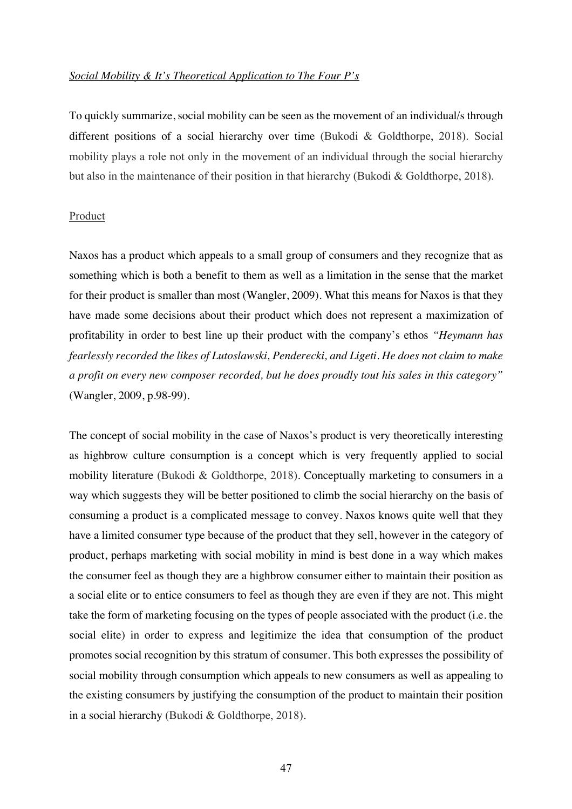#### *Social Mobility & It's Theoretical Application to The Four P's*

To quickly summarize, social mobility can be seen as the movement of an individual/s through different positions of a social hierarchy over time (Bukodi & Goldthorpe, 2018). Social mobility plays a role not only in the movement of an individual through the social hierarchy but also in the maintenance of their position in that hierarchy (Bukodi & Goldthorpe, 2018).

## Product

Naxos has a product which appeals to a small group of consumers and they recognize that as something which is both a benefit to them as well as a limitation in the sense that the market for their product is smaller than most (Wangler, 2009). What this means for Naxos is that they have made some decisions about their product which does not represent a maximization of profitability in order to best line up their product with the company's ethos *"Heymann has fearlessly recorded the likes of Lutoslawski, Penderecki, and Ligeti. He does not claim to make a profit on every new composer recorded, but he does proudly tout his sales in this category"* (Wangler, 2009, p.98-99).

The concept of social mobility in the case of Naxos's product is very theoretically interesting as highbrow culture consumption is a concept which is very frequently applied to social mobility literature (Bukodi & Goldthorpe, 2018). Conceptually marketing to consumers in a way which suggests they will be better positioned to climb the social hierarchy on the basis of consuming a product is a complicated message to convey. Naxos knows quite well that they have a limited consumer type because of the product that they sell, however in the category of product, perhaps marketing with social mobility in mind is best done in a way which makes the consumer feel as though they are a highbrow consumer either to maintain their position as a social elite or to entice consumers to feel as though they are even if they are not. This might take the form of marketing focusing on the types of people associated with the product (i.e. the social elite) in order to express and legitimize the idea that consumption of the product promotes social recognition by this stratum of consumer. This both expresses the possibility of social mobility through consumption which appeals to new consumers as well as appealing to the existing consumers by justifying the consumption of the product to maintain their position in a social hierarchy (Bukodi & Goldthorpe, 2018).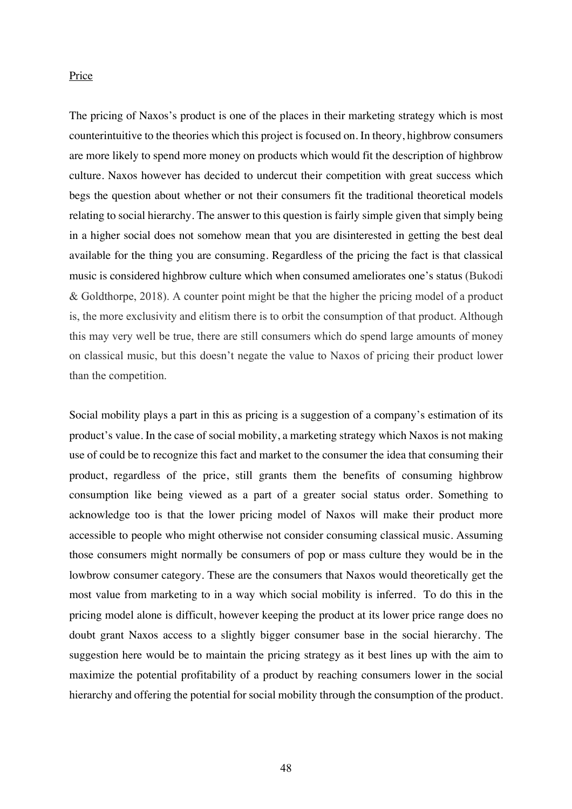## Price

The pricing of Naxos's product is one of the places in their marketing strategy which is most counterintuitive to the theories which this project is focused on. In theory, highbrow consumers are more likely to spend more money on products which would fit the description of highbrow culture. Naxos however has decided to undercut their competition with great success which begs the question about whether or not their consumers fit the traditional theoretical models relating to social hierarchy. The answer to this question is fairly simple given that simply being in a higher social does not somehow mean that you are disinterested in getting the best deal available for the thing you are consuming. Regardless of the pricing the fact is that classical music is considered highbrow culture which when consumed ameliorates one's status (Bukodi & Goldthorpe, 2018). A counter point might be that the higher the pricing model of a product is, the more exclusivity and elitism there is to orbit the consumption of that product. Although this may very well be true, there are still consumers which do spend large amounts of money on classical music, but this doesn't negate the value to Naxos of pricing their product lower than the competition.

Social mobility plays a part in this as pricing is a suggestion of a company's estimation of its product's value. In the case of social mobility, a marketing strategy which Naxos is not making use of could be to recognize this fact and market to the consumer the idea that consuming their product, regardless of the price, still grants them the benefits of consuming highbrow consumption like being viewed as a part of a greater social status order. Something to acknowledge too is that the lower pricing model of Naxos will make their product more accessible to people who might otherwise not consider consuming classical music. Assuming those consumers might normally be consumers of pop or mass culture they would be in the lowbrow consumer category. These are the consumers that Naxos would theoretically get the most value from marketing to in a way which social mobility is inferred. To do this in the pricing model alone is difficult, however keeping the product at its lower price range does no doubt grant Naxos access to a slightly bigger consumer base in the social hierarchy. The suggestion here would be to maintain the pricing strategy as it best lines up with the aim to maximize the potential profitability of a product by reaching consumers lower in the social hierarchy and offering the potential for social mobility through the consumption of the product.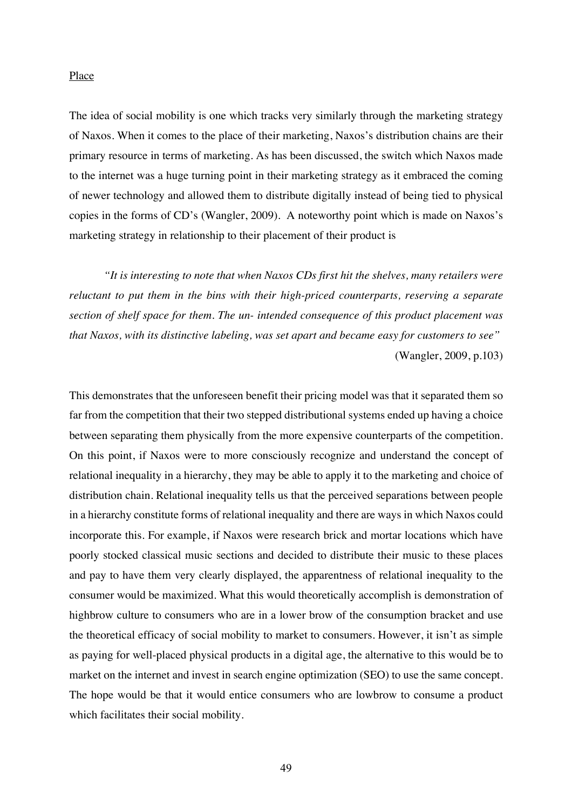#### Place

The idea of social mobility is one which tracks very similarly through the marketing strategy of Naxos. When it comes to the place of their marketing, Naxos's distribution chains are their primary resource in terms of marketing. As has been discussed, the switch which Naxos made to the internet was a huge turning point in their marketing strategy as it embraced the coming of newer technology and allowed them to distribute digitally instead of being tied to physical copies in the forms of CD's (Wangler, 2009). A noteworthy point which is made on Naxos's marketing strategy in relationship to their placement of their product is

*"It is interesting to note that when Naxos CDs first hit the shelves, many retailers were reluctant to put them in the bins with their high-priced counterparts, reserving a separate section of shelf space for them. The un- intended consequence of this product placement was that Naxos, with its distinctive labeling, was set apart and became easy for customers to see"* (Wangler, 2009, p.103)

This demonstrates that the unforeseen benefit their pricing model was that it separated them so far from the competition that their two stepped distributional systems ended up having a choice between separating them physically from the more expensive counterparts of the competition. On this point, if Naxos were to more consciously recognize and understand the concept of relational inequality in a hierarchy, they may be able to apply it to the marketing and choice of distribution chain. Relational inequality tells us that the perceived separations between people in a hierarchy constitute forms of relational inequality and there are ways in which Naxos could incorporate this. For example, if Naxos were research brick and mortar locations which have poorly stocked classical music sections and decided to distribute their music to these places and pay to have them very clearly displayed, the apparentness of relational inequality to the consumer would be maximized. What this would theoretically accomplish is demonstration of highbrow culture to consumers who are in a lower brow of the consumption bracket and use the theoretical efficacy of social mobility to market to consumers. However, it isn't as simple as paying for well-placed physical products in a digital age, the alternative to this would be to market on the internet and invest in search engine optimization (SEO) to use the same concept. The hope would be that it would entice consumers who are lowbrow to consume a product which facilitates their social mobility.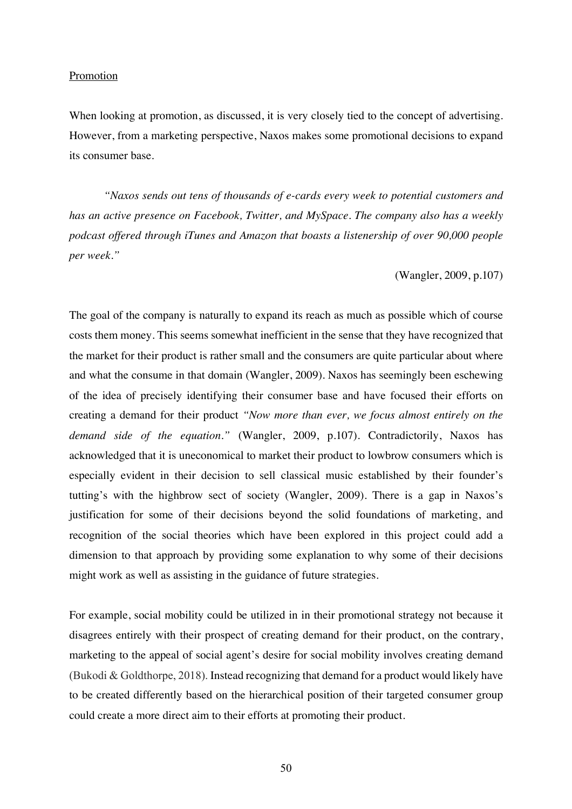#### Promotion

When looking at promotion, as discussed, it is very closely tied to the concept of advertising. However, from a marketing perspective, Naxos makes some promotional decisions to expand its consumer base.

*"Naxos sends out tens of thousands of e-cards every week to potential customers and has an active presence on Facebook, Twitter, and MySpace. The company also has a weekly podcast offered through iTunes and Amazon that boasts a listenership of over 90,000 people per week."*

(Wangler, 2009, p.107)

The goal of the company is naturally to expand its reach as much as possible which of course costs them money. This seems somewhat inefficient in the sense that they have recognized that the market for their product is rather small and the consumers are quite particular about where and what the consume in that domain (Wangler, 2009). Naxos has seemingly been eschewing of the idea of precisely identifying their consumer base and have focused their efforts on creating a demand for their product *"Now more than ever, we focus almost entirely on the demand side of the equation."* (Wangler, 2009, p.107). Contradictorily, Naxos has acknowledged that it is uneconomical to market their product to lowbrow consumers which is especially evident in their decision to sell classical music established by their founder's tutting's with the highbrow sect of society (Wangler, 2009). There is a gap in Naxos's justification for some of their decisions beyond the solid foundations of marketing, and recognition of the social theories which have been explored in this project could add a dimension to that approach by providing some explanation to why some of their decisions might work as well as assisting in the guidance of future strategies.

For example, social mobility could be utilized in in their promotional strategy not because it disagrees entirely with their prospect of creating demand for their product, on the contrary, marketing to the appeal of social agent's desire for social mobility involves creating demand (Bukodi & Goldthorpe, 2018). Instead recognizing that demand for a product would likely have to be created differently based on the hierarchical position of their targeted consumer group could create a more direct aim to their efforts at promoting their product.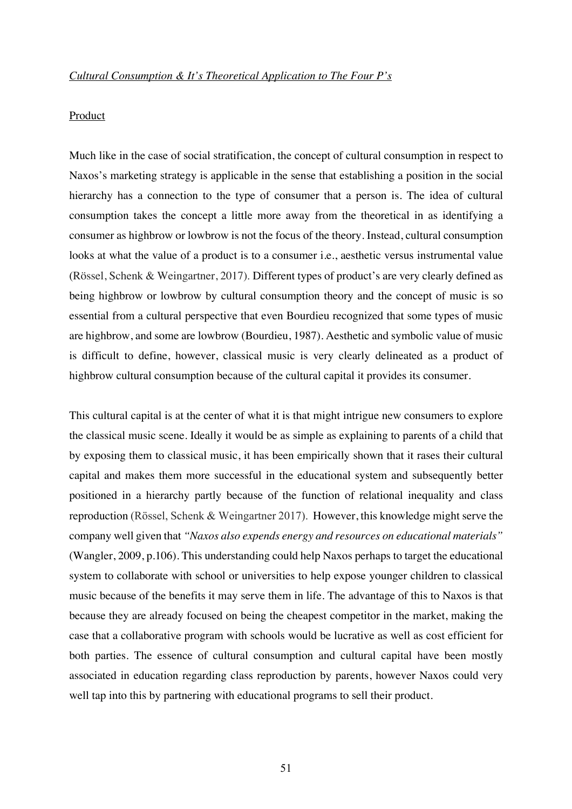## Product

Much like in the case of social stratification, the concept of cultural consumption in respect to Naxos's marketing strategy is applicable in the sense that establishing a position in the social hierarchy has a connection to the type of consumer that a person is. The idea of cultural consumption takes the concept a little more away from the theoretical in as identifying a consumer as highbrow or lowbrow is not the focus of the theory. Instead, cultural consumption looks at what the value of a product is to a consumer i.e., aesthetic versus instrumental value (Rössel, Schenk & Weingartner, 2017). Different types of product's are very clearly defined as being highbrow or lowbrow by cultural consumption theory and the concept of music is so essential from a cultural perspective that even Bourdieu recognized that some types of music are highbrow, and some are lowbrow (Bourdieu, 1987). Aesthetic and symbolic value of music is difficult to define, however, classical music is very clearly delineated as a product of highbrow cultural consumption because of the cultural capital it provides its consumer.

This cultural capital is at the center of what it is that might intrigue new consumers to explore the classical music scene. Ideally it would be as simple as explaining to parents of a child that by exposing them to classical music, it has been empirically shown that it rases their cultural capital and makes them more successful in the educational system and subsequently better positioned in a hierarchy partly because of the function of relational inequality and class reproduction (Rössel, Schenk & Weingartner 2017). However, this knowledge might serve the company well given that *"Naxos also expends energy and resources on educational materials"* (Wangler, 2009, p.106). This understanding could help Naxos perhaps to target the educational system to collaborate with school or universities to help expose younger children to classical music because of the benefits it may serve them in life. The advantage of this to Naxos is that because they are already focused on being the cheapest competitor in the market, making the case that a collaborative program with schools would be lucrative as well as cost efficient for both parties. The essence of cultural consumption and cultural capital have been mostly associated in education regarding class reproduction by parents, however Naxos could very well tap into this by partnering with educational programs to sell their product.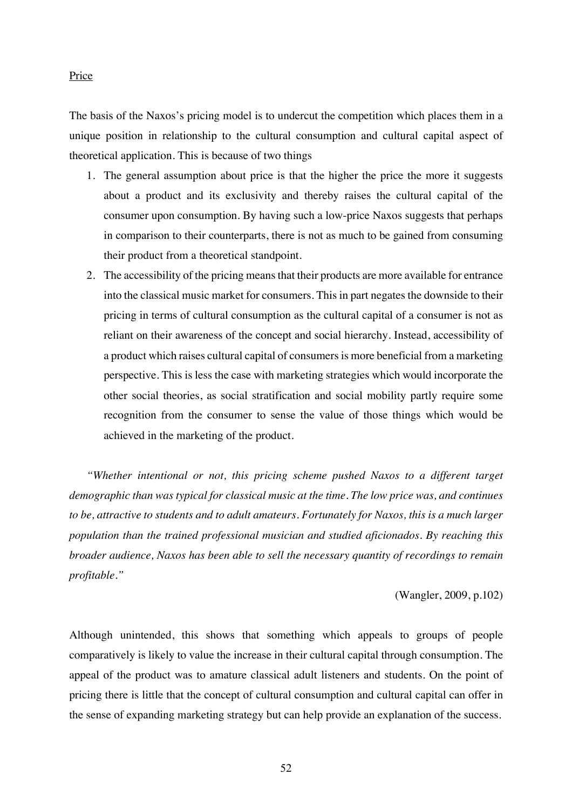### Price

The basis of the Naxos's pricing model is to undercut the competition which places them in a unique position in relationship to the cultural consumption and cultural capital aspect of theoretical application. This is because of two things

- 1. The general assumption about price is that the higher the price the more it suggests about a product and its exclusivity and thereby raises the cultural capital of the consumer upon consumption. By having such a low-price Naxos suggests that perhaps in comparison to their counterparts, there is not as much to be gained from consuming their product from a theoretical standpoint.
- 2. The accessibility of the pricing means that their products are more available for entrance into the classical music market for consumers. This in part negates the downside to their pricing in terms of cultural consumption as the cultural capital of a consumer is not as reliant on their awareness of the concept and social hierarchy. Instead, accessibility of a product which raises cultural capital of consumers is more beneficial from a marketing perspective. This is less the case with marketing strategies which would incorporate the other social theories, as social stratification and social mobility partly require some recognition from the consumer to sense the value of those things which would be achieved in the marketing of the product.

*"Whether intentional or not, this pricing scheme pushed Naxos to a different target demographic than was typical for classical music at the time. The low price was, and continues to be, attractive to students and to adult amateurs. Fortunately for Naxos, this is a much larger population than the trained professional musician and studied aficionados. By reaching this broader audience, Naxos has been able to sell the necessary quantity of recordings to remain profitable."*

(Wangler, 2009, p.102)

Although unintended, this shows that something which appeals to groups of people comparatively is likely to value the increase in their cultural capital through consumption. The appeal of the product was to amature classical adult listeners and students. On the point of pricing there is little that the concept of cultural consumption and cultural capital can offer in the sense of expanding marketing strategy but can help provide an explanation of the success.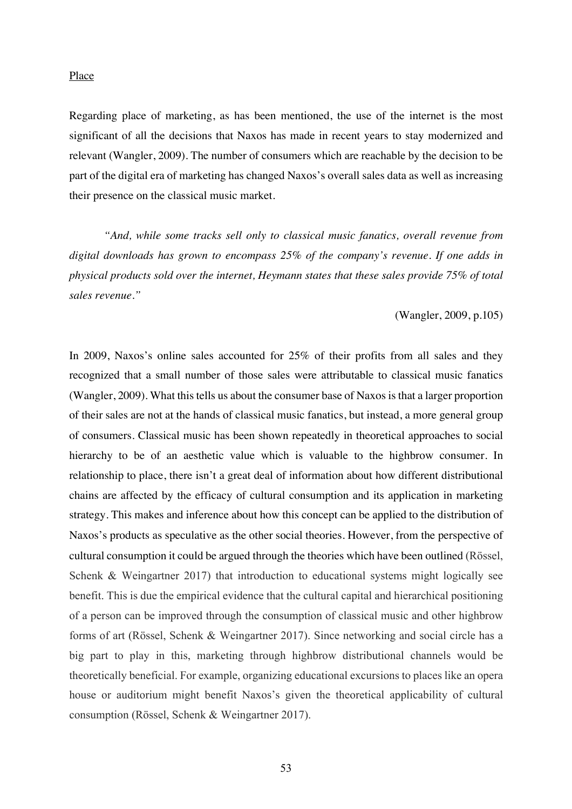#### Place

Regarding place of marketing, as has been mentioned, the use of the internet is the most significant of all the decisions that Naxos has made in recent years to stay modernized and relevant (Wangler, 2009). The number of consumers which are reachable by the decision to be part of the digital era of marketing has changed Naxos's overall sales data as well as increasing their presence on the classical music market.

*"And, while some tracks sell only to classical music fanatics, overall revenue from digital downloads has grown to encompass 25% of the company's revenue. If one adds in physical products sold over the internet, Heymann states that these sales provide 75% of total sales revenue."*

#### (Wangler, 2009, p.105)

In 2009, Naxos's online sales accounted for 25% of their profits from all sales and they recognized that a small number of those sales were attributable to classical music fanatics (Wangler, 2009). What this tells us about the consumer base of Naxos is that a larger proportion of their sales are not at the hands of classical music fanatics, but instead, a more general group of consumers. Classical music has been shown repeatedly in theoretical approaches to social hierarchy to be of an aesthetic value which is valuable to the highbrow consumer. In relationship to place, there isn't a great deal of information about how different distributional chains are affected by the efficacy of cultural consumption and its application in marketing strategy. This makes and inference about how this concept can be applied to the distribution of Naxos's products as speculative as the other social theories. However, from the perspective of cultural consumption it could be argued through the theories which have been outlined (Rössel, Schenk & Weingartner 2017) that introduction to educational systems might logically see benefit. This is due the empirical evidence that the cultural capital and hierarchical positioning of a person can be improved through the consumption of classical music and other highbrow forms of art (Rössel, Schenk & Weingartner 2017). Since networking and social circle has a big part to play in this, marketing through highbrow distributional channels would be theoretically beneficial. For example, organizing educational excursions to places like an opera house or auditorium might benefit Naxos's given the theoretical applicability of cultural consumption (Rössel, Schenk & Weingartner 2017).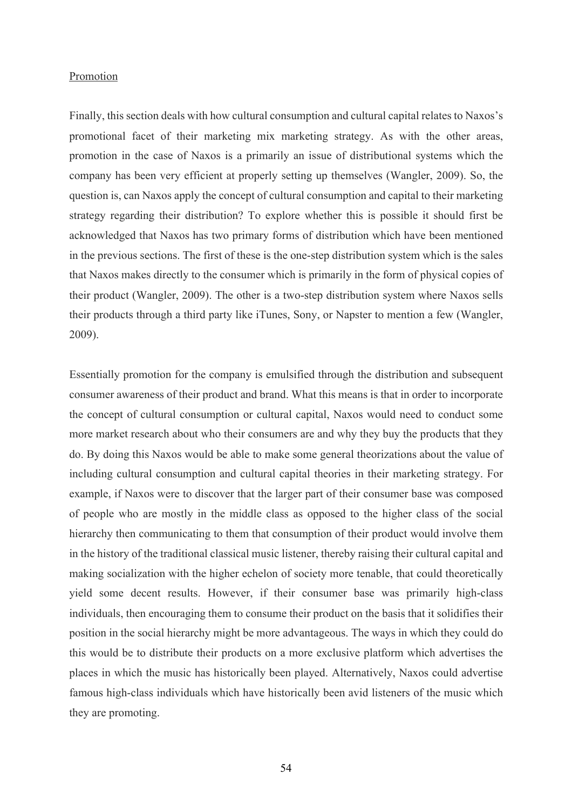## Promotion

Finally, this section deals with how cultural consumption and cultural capital relates to Naxos's promotional facet of their marketing mix marketing strategy. As with the other areas, promotion in the case of Naxos is a primarily an issue of distributional systems which the company has been very efficient at properly setting up themselves (Wangler, 2009). So, the question is, can Naxos apply the concept of cultural consumption and capital to their marketing strategy regarding their distribution? To explore whether this is possible it should first be acknowledged that Naxos has two primary forms of distribution which have been mentioned in the previous sections. The first of these is the one-step distribution system which is the sales that Naxos makes directly to the consumer which is primarily in the form of physical copies of their product (Wangler, 2009). The other is a two-step distribution system where Naxos sells their products through a third party like iTunes, Sony, or Napster to mention a few (Wangler, 2009).

Essentially promotion for the company is emulsified through the distribution and subsequent consumer awareness of their product and brand. What this means is that in order to incorporate the concept of cultural consumption or cultural capital, Naxos would need to conduct some more market research about who their consumers are and why they buy the products that they do. By doing this Naxos would be able to make some general theorizations about the value of including cultural consumption and cultural capital theories in their marketing strategy. For example, if Naxos were to discover that the larger part of their consumer base was composed of people who are mostly in the middle class as opposed to the higher class of the social hierarchy then communicating to them that consumption of their product would involve them in the history of the traditional classical music listener, thereby raising their cultural capital and making socialization with the higher echelon of society more tenable, that could theoretically yield some decent results. However, if their consumer base was primarily high-class individuals, then encouraging them to consume their product on the basis that it solidifies their position in the social hierarchy might be more advantageous. The ways in which they could do this would be to distribute their products on a more exclusive platform which advertises the places in which the music has historically been played. Alternatively, Naxos could advertise famous high-class individuals which have historically been avid listeners of the music which they are promoting.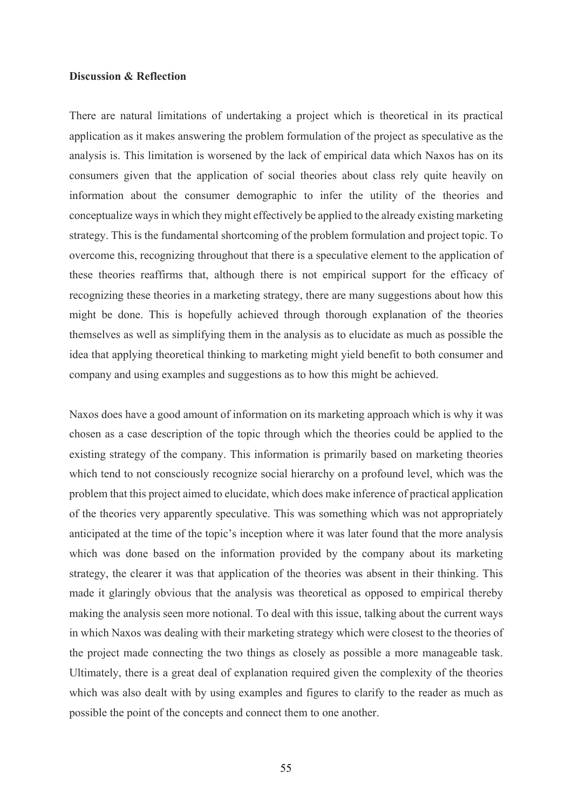## **Discussion & Reflection**

There are natural limitations of undertaking a project which is theoretical in its practical application as it makes answering the problem formulation of the project as speculative as the analysis is. This limitation is worsened by the lack of empirical data which Naxos has on its consumers given that the application of social theories about class rely quite heavily on information about the consumer demographic to infer the utility of the theories and conceptualize ways in which they might effectively be applied to the already existing marketing strategy. This is the fundamental shortcoming of the problem formulation and project topic. To overcome this, recognizing throughout that there is a speculative element to the application of these theories reaffirms that, although there is not empirical support for the efficacy of recognizing these theories in a marketing strategy, there are many suggestions about how this might be done. This is hopefully achieved through thorough explanation of the theories themselves as well as simplifying them in the analysis as to elucidate as much as possible the idea that applying theoretical thinking to marketing might yield benefit to both consumer and company and using examples and suggestions as to how this might be achieved.

Naxos does have a good amount of information on its marketing approach which is why it was chosen as a case description of the topic through which the theories could be applied to the existing strategy of the company. This information is primarily based on marketing theories which tend to not consciously recognize social hierarchy on a profound level, which was the problem that this project aimed to elucidate, which does make inference of practical application of the theories very apparently speculative. This was something which was not appropriately anticipated at the time of the topic's inception where it was later found that the more analysis which was done based on the information provided by the company about its marketing strategy, the clearer it was that application of the theories was absent in their thinking. This made it glaringly obvious that the analysis was theoretical as opposed to empirical thereby making the analysis seen more notional. To deal with this issue, talking about the current ways in which Naxos was dealing with their marketing strategy which were closest to the theories of the project made connecting the two things as closely as possible a more manageable task. Ultimately, there is a great deal of explanation required given the complexity of the theories which was also dealt with by using examples and figures to clarify to the reader as much as possible the point of the concepts and connect them to one another.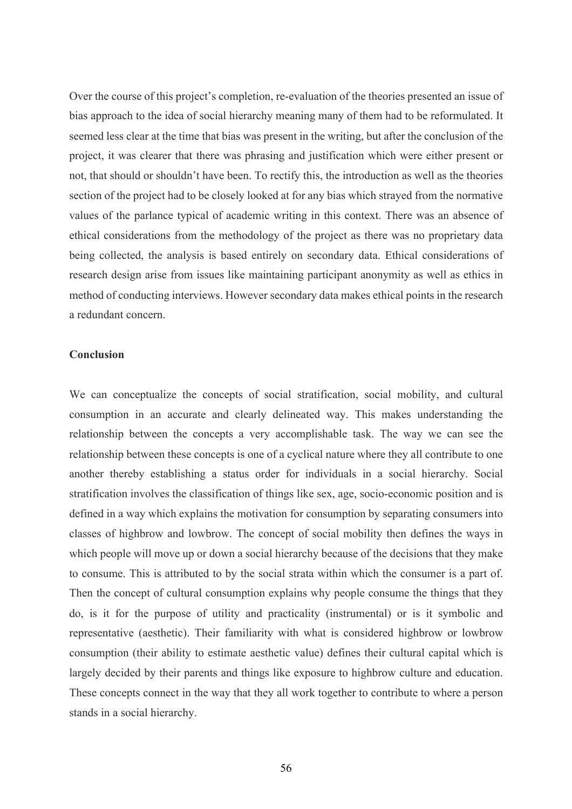Over the course of this project's completion, re-evaluation of the theories presented an issue of bias approach to the idea of social hierarchy meaning many of them had to be reformulated. It seemed less clear at the time that bias was present in the writing, but after the conclusion of the project, it was clearer that there was phrasing and justification which were either present or not, that should or shouldn't have been. To rectify this, the introduction as well as the theories section of the project had to be closely looked at for any bias which strayed from the normative values of the parlance typical of academic writing in this context. There was an absence of ethical considerations from the methodology of the project as there was no proprietary data being collected, the analysis is based entirely on secondary data. Ethical considerations of research design arise from issues like maintaining participant anonymity as well as ethics in method of conducting interviews. However secondary data makes ethical points in the research a redundant concern.

## **Conclusion**

We can conceptualize the concepts of social stratification, social mobility, and cultural consumption in an accurate and clearly delineated way. This makes understanding the relationship between the concepts a very accomplishable task. The way we can see the relationship between these concepts is one of a cyclical nature where they all contribute to one another thereby establishing a status order for individuals in a social hierarchy. Social stratification involves the classification of things like sex, age, socio-economic position and is defined in a way which explains the motivation for consumption by separating consumers into classes of highbrow and lowbrow. The concept of social mobility then defines the ways in which people will move up or down a social hierarchy because of the decisions that they make to consume. This is attributed to by the social strata within which the consumer is a part of. Then the concept of cultural consumption explains why people consume the things that they do, is it for the purpose of utility and practicality (instrumental) or is it symbolic and representative (aesthetic). Their familiarity with what is considered highbrow or lowbrow consumption (their ability to estimate aesthetic value) defines their cultural capital which is largely decided by their parents and things like exposure to highbrow culture and education. These concepts connect in the way that they all work together to contribute to where a person stands in a social hierarchy.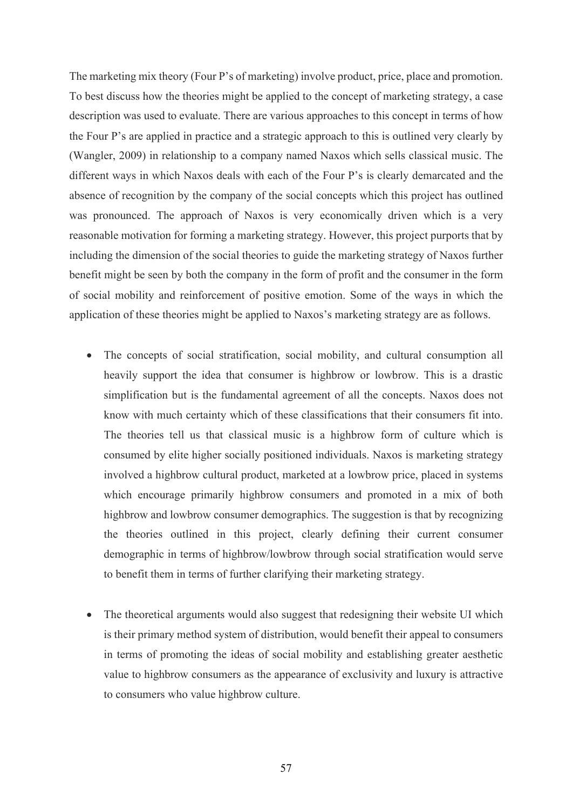The marketing mix theory (Four P's of marketing) involve product, price, place and promotion. To best discuss how the theories might be applied to the concept of marketing strategy, a case description was used to evaluate. There are various approaches to this concept in terms of how the Four P's are applied in practice and a strategic approach to this is outlined very clearly by (Wangler, 2009) in relationship to a company named Naxos which sells classical music. The different ways in which Naxos deals with each of the Four P's is clearly demarcated and the absence of recognition by the company of the social concepts which this project has outlined was pronounced. The approach of Naxos is very economically driven which is a very reasonable motivation for forming a marketing strategy. However, this project purports that by including the dimension of the social theories to guide the marketing strategy of Naxos further benefit might be seen by both the company in the form of profit and the consumer in the form of social mobility and reinforcement of positive emotion. Some of the ways in which the application of these theories might be applied to Naxos's marketing strategy are as follows.

- The concepts of social stratification, social mobility, and cultural consumption all heavily support the idea that consumer is highbrow or lowbrow. This is a drastic simplification but is the fundamental agreement of all the concepts. Naxos does not know with much certainty which of these classifications that their consumers fit into. The theories tell us that classical music is a highbrow form of culture which is consumed by elite higher socially positioned individuals. Naxos is marketing strategy involved a highbrow cultural product, marketed at a lowbrow price, placed in systems which encourage primarily highbrow consumers and promoted in a mix of both highbrow and lowbrow consumer demographics. The suggestion is that by recognizing the theories outlined in this project, clearly defining their current consumer demographic in terms of highbrow/lowbrow through social stratification would serve to benefit them in terms of further clarifying their marketing strategy.
- The theoretical arguments would also suggest that redesigning their website UI which is their primary method system of distribution, would benefit their appeal to consumers in terms of promoting the ideas of social mobility and establishing greater aesthetic value to highbrow consumers as the appearance of exclusivity and luxury is attractive to consumers who value highbrow culture.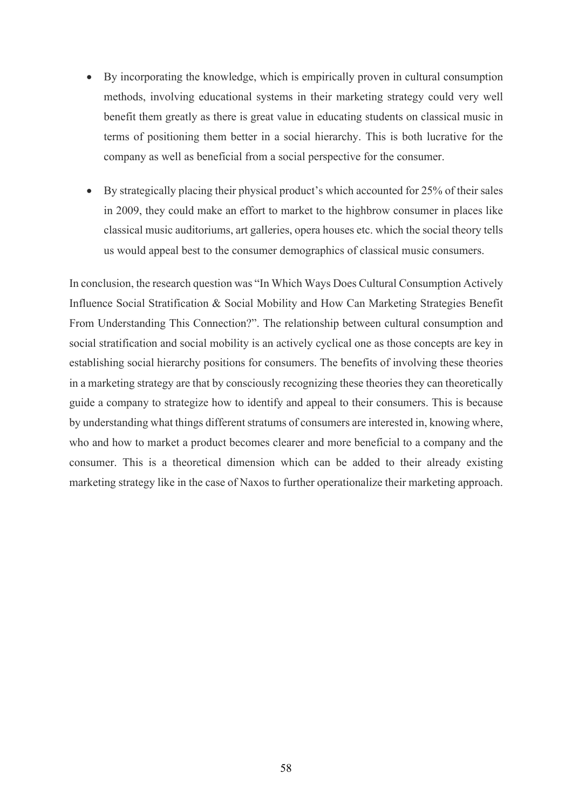- By incorporating the knowledge, which is empirically proven in cultural consumption methods, involving educational systems in their marketing strategy could very well benefit them greatly as there is great value in educating students on classical music in terms of positioning them better in a social hierarchy. This is both lucrative for the company as well as beneficial from a social perspective for the consumer.
- By strategically placing their physical product's which accounted for 25% of their sales in 2009, they could make an effort to market to the highbrow consumer in places like classical music auditoriums, art galleries, opera houses etc. which the social theory tells us would appeal best to the consumer demographics of classical music consumers.

In conclusion, the research question was "In Which Ways Does Cultural Consumption Actively Influence Social Stratification & Social Mobility and How Can Marketing Strategies Benefit From Understanding This Connection?". The relationship between cultural consumption and social stratification and social mobility is an actively cyclical one as those concepts are key in establishing social hierarchy positions for consumers. The benefits of involving these theories in a marketing strategy are that by consciously recognizing these theories they can theoretically guide a company to strategize how to identify and appeal to their consumers. This is because by understanding what things different stratums of consumers are interested in, knowing where, who and how to market a product becomes clearer and more beneficial to a company and the consumer. This is a theoretical dimension which can be added to their already existing marketing strategy like in the case of Naxos to further operationalize their marketing approach.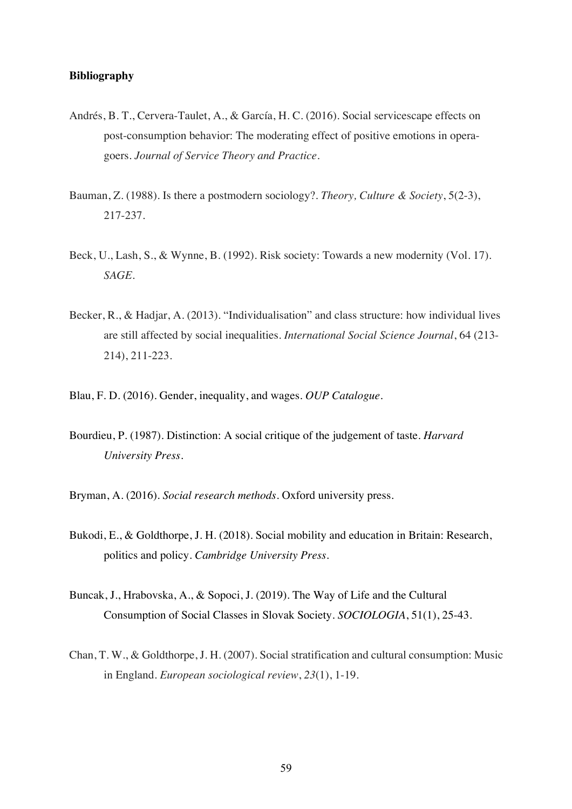## **Bibliography**

- Andrés, B. T., Cervera-Taulet, A., & García, H. C. (2016). Social servicescape effects on post-consumption behavior: The moderating effect of positive emotions in operagoers. *Journal of Service Theory and Practice.*
- Bauman, Z. (1988). Is there a postmodern sociology?. *Theory, Culture & Society*, 5(2-3), 217-237.
- Beck, U., Lash, S., & Wynne, B. (1992). Risk society: Towards a new modernity (Vol. 17). *SAGE*.
- Becker, R., & Hadjar, A. (2013). "Individualisation" and class structure: how individual lives are still affected by social inequalities. *International Social Science Journal*, 64 (213- 214), 211-223.
- Blau, F. D. (2016). Gender, inequality, and wages. *OUP Catalogue*.
- Bourdieu, P. (1987). Distinction: A social critique of the judgement of taste. *Harvard University Press*.
- Bryman, A. (2016). *Social research methods*. Oxford university press.
- Bukodi, E., & Goldthorpe, J. H. (2018). Social mobility and education in Britain: Research, politics and policy. *Cambridge University Press*.
- Buncak, J., Hrabovska, A., & Sopoci, J. (2019). The Way of Life and the Cultural Consumption of Social Classes in Slovak Society. *SOCIOLOGIA*, 51(1), 25-43.
- Chan, T. W., & Goldthorpe, J. H. (2007). Social stratification and cultural consumption: Music in England. *European sociological review*, *23*(1), 1-19.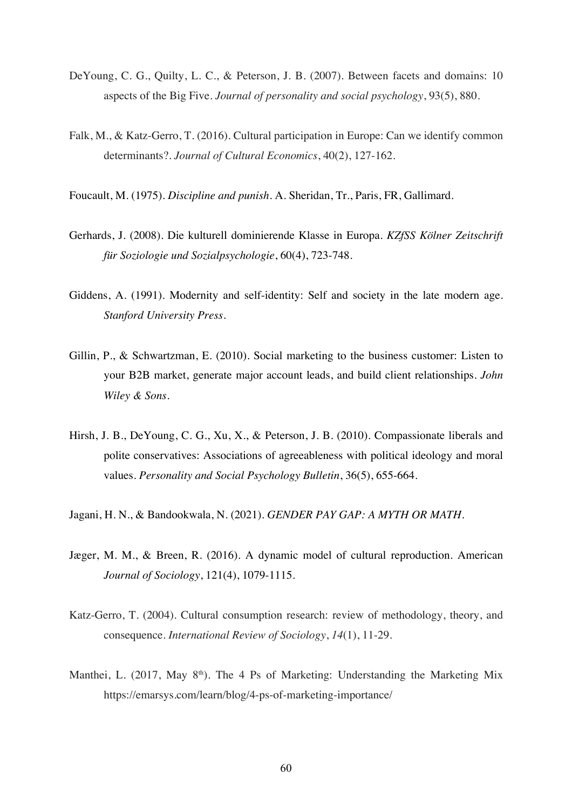- DeYoung, C. G., Quilty, L. C., & Peterson, J. B. (2007). Between facets and domains: 10 aspects of the Big Five. *Journal of personality and social psychology*, 93(5), 880.
- Falk, M., & Katz-Gerro, T. (2016). Cultural participation in Europe: Can we identify common determinants?. *Journal of Cultural Economics*, 40(2), 127-162.
- Foucault, M. (1975). *Discipline and punish*. A. Sheridan, Tr., Paris, FR, Gallimard.
- Gerhards, J. (2008). Die kulturell dominierende Klasse in Europa. *KZfSS Kölner Zeitschrift für Soziologie und Sozialpsychologie*, 60(4), 723-748.
- Giddens, A. (1991). Modernity and self-identity: Self and society in the late modern age. *Stanford University Press.*
- Gillin, P., & Schwartzman, E. (2010). Social marketing to the business customer: Listen to your B2B market, generate major account leads, and build client relationships. *John Wiley & Sons.*
- Hirsh, J. B., DeYoung, C. G., Xu, X., & Peterson, J. B. (2010). Compassionate liberals and polite conservatives: Associations of agreeableness with political ideology and moral values. *Personality and Social Psychology Bulletin*, 36(5), 655-664.
- Jagani, H. N., & Bandookwala, N. (2021). *GENDER PAY GAP: A MYTH OR MATH.*
- Jæger, M. M., & Breen, R. (2016). A dynamic model of cultural reproduction. American *Journal of Sociology*, 121(4), 1079-1115.
- Katz-Gerro, T. (2004). Cultural consumption research: review of methodology, theory, and consequence. *International Review of Sociology*, *14*(1), 11-29.
- Manthei, L. (2017, May 8<sup>th</sup>). The 4 Ps of Marketing: Understanding the Marketing Mix https://emarsys.com/learn/blog/4-ps-of-marketing-importance/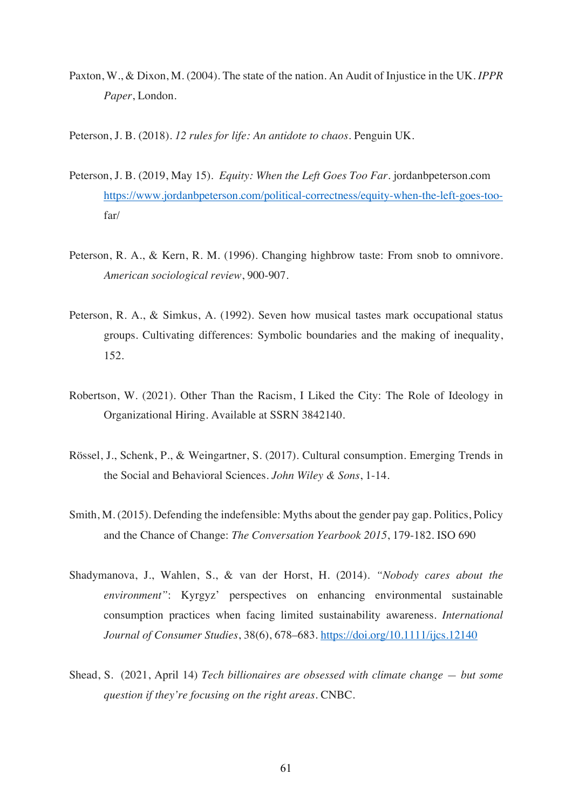Paxton, W., & Dixon, M. (2004). The state of the nation. An Audit of Injustice in the UK. *IPPR Paper*, London.

Peterson, J. B. (2018). *12 rules for life: An antidote to chaos*. Penguin UK.

- Peterson, J. B. (2019, May 15). *Equity: When the Left Goes Too Far*. jordanbpeterson.com https://www.jordanbpeterson.com/political-correctness/equity-when-the-left-goes-toofar/
- Peterson, R. A., & Kern, R. M. (1996). Changing highbrow taste: From snob to omnivore. *American sociological review*, 900-907.
- Peterson, R. A., & Simkus, A. (1992). Seven how musical tastes mark occupational status groups. Cultivating differences: Symbolic boundaries and the making of inequality, 152.
- Robertson, W. (2021). Other Than the Racism, I Liked the City: The Role of Ideology in Organizational Hiring. Available at SSRN 3842140.
- Rössel, J., Schenk, P., & Weingartner, S. (2017). Cultural consumption. Emerging Trends in the Social and Behavioral Sciences. *John Wiley & Sons*, 1-14.
- Smith, M. (2015). Defending the indefensible: Myths about the gender pay gap. Politics, Policy and the Chance of Change: *The Conversation Yearbook 2015*, 179-182. ISO 690
- Shadymanova, J., Wahlen, S., & van der Horst, H. (2014). *"Nobody cares about the environment"*: Kyrgyz' perspectives on enhancing environmental sustainable consumption practices when facing limited sustainability awareness. *International Journal of Consumer Studies*, 38(6), 678–683. https://doi.org/10.1111/ijcs.12140
- Shead, S. (2021, April 14) *Tech billionaires are obsessed with climate change — but some question if they're focusing on the right areas*. CNBC.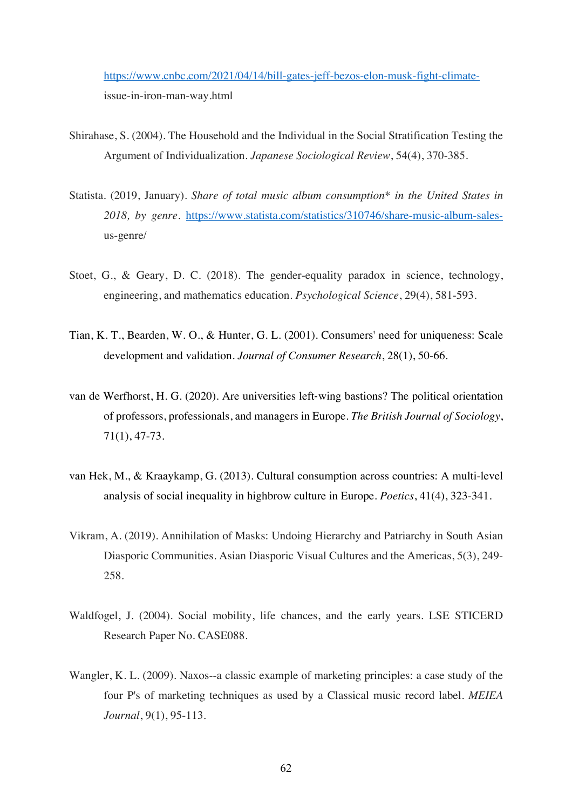https://www.cnbc.com/2021/04/14/bill-gates-jeff-bezos-elon-musk-fight-climateissue-in-iron-man-way.html

- Shirahase, S. (2004). The Household and the Individual in the Social Stratification Testing the Argument of Individualization. *Japanese Sociological Review*, 54(4), 370-385.
- Statista. (2019, January). *Share of total music album consumption\* in the United States in 2018, by genre*. https://www.statista.com/statistics/310746/share-music-album-salesus-genre/
- Stoet, G., & Geary, D. C. (2018). The gender-equality paradox in science, technology, engineering, and mathematics education. *Psychological Science*, 29(4), 581-593.
- Tian, K. T., Bearden, W. O., & Hunter, G. L. (2001). Consumers' need for uniqueness: Scale development and validation. *Journal of Consumer Research*, 28(1), 50-66.
- van de Werfhorst, H. G. (2020). Are universities left-wing bastions? The political orientation of professors, professionals, and managers in Europe. *The British Journal of Sociology*, 71(1), 47-73.
- van Hek, M., & Kraaykamp, G. (2013). Cultural consumption across countries: A multi-level analysis of social inequality in highbrow culture in Europe. *Poetics*, 41(4), 323-341.
- Vikram, A. (2019). Annihilation of Masks: Undoing Hierarchy and Patriarchy in South Asian Diasporic Communities. Asian Diasporic Visual Cultures and the Americas, 5(3), 249- 258.
- Waldfogel, J. (2004). Social mobility, life chances, and the early years. LSE STICERD Research Paper No. CASE088.
- Wangler, K. L. (2009). Naxos--a classic example of marketing principles: a case study of the four P's of marketing techniques as used by a Classical music record label. *MEIEA Journal*, 9(1), 95-113.